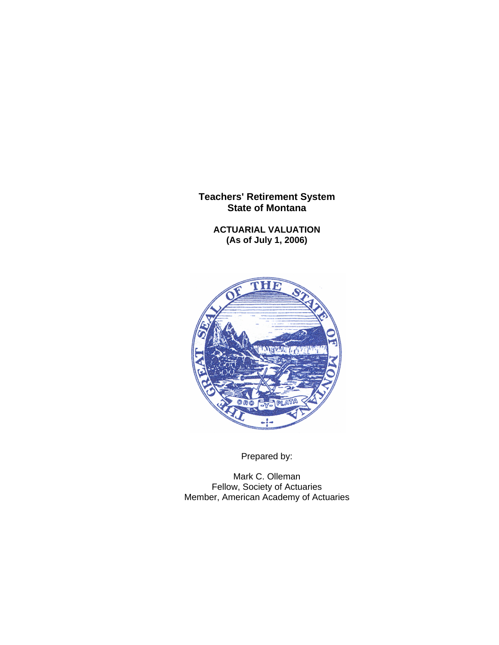**ACTUARIAL VALUATION (As of July 1, 2006)** 



Prepared by:

Mark C. Olleman Fellow, Society of Actuaries Member, American Academy of Actuaries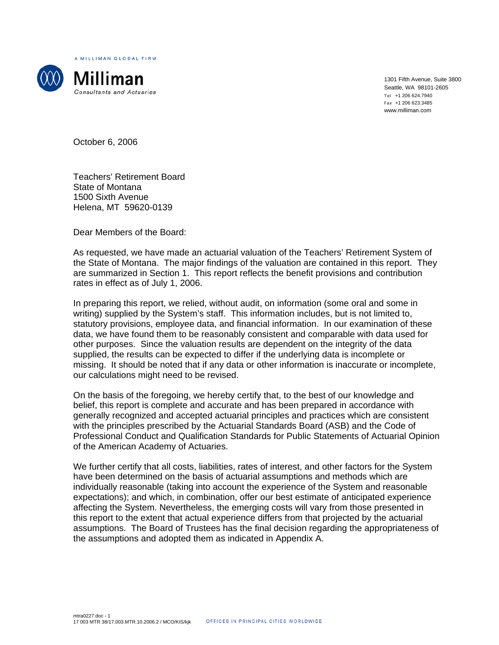A MILLIMAN GLOBAL FIRM



Milliman Consultants and Actuaries

1301 Fifth Avenue, Suite 3800 Seattle, WA 98101-2605 Tel +1 206 624.7940 Fax +1 206 623.3485 www.milliman.com

October 6, 2006

Teachers' Retirement Board State of Montana 1500 Sixth Avenue Helena, MT 59620-0139

Dear Members of the Board:

As requested, we have made an actuarial valuation of the Teachers' Retirement System of the State of Montana. The major findings of the valuation are contained in this report. They are summarized in Section 1. This report reflects the benefit provisions and contribution rates in effect as of July 1, 2006.

In preparing this report, we relied, without audit, on information (some oral and some in writing) supplied by the System's staff. This information includes, but is not limited to, statutory provisions, employee data, and financial information. In our examination of these data, we have found them to be reasonably consistent and comparable with data used for other purposes. Since the valuation results are dependent on the integrity of the data supplied, the results can be expected to differ if the underlying data is incomplete or missing. It should be noted that if any data or other information is inaccurate or incomplete, our calculations might need to be revised.

On the basis of the foregoing, we hereby certify that, to the best of our knowledge and belief, this report is complete and accurate and has been prepared in accordance with generally recognized and accepted actuarial principles and practices which are consistent with the principles prescribed by the Actuarial Standards Board (ASB) and the Code of Professional Conduct and Qualification Standards for Public Statements of Actuarial Opinion of the American Academy of Actuaries.

We further certify that all costs, liabilities, rates of interest, and other factors for the System have been determined on the basis of actuarial assumptions and methods which are individually reasonable (taking into account the experience of the System and reasonable expectations); and which, in combination, offer our best estimate of anticipated experience affecting the System. Nevertheless, the emerging costs will vary from those presented in this report to the extent that actual experience differs from that projected by the actuarial assumptions. The Board of Trustees has the final decision regarding the appropriateness of the assumptions and adopted them as indicated in Appendix A.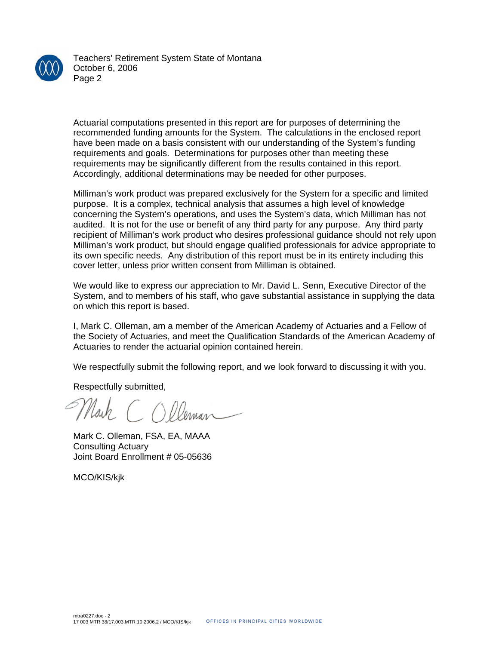

Teachers' Retirement System State of Montana October 6, 2006 Page 2

Actuarial computations presented in this report are for purposes of determining the recommended funding amounts for the System. The calculations in the enclosed report have been made on a basis consistent with our understanding of the System's funding requirements and goals. Determinations for purposes other than meeting these requirements may be significantly different from the results contained in this report. Accordingly, additional determinations may be needed for other purposes.

Milliman's work product was prepared exclusively for the System for a specific and limited purpose. It is a complex, technical analysis that assumes a high level of knowledge concerning the System's operations, and uses the System's data, which Milliman has not audited. It is not for the use or benefit of any third party for any purpose. Any third party recipient of Milliman's work product who desires professional guidance should not rely upon Milliman's work product, but should engage qualified professionals for advice appropriate to its own specific needs. Any distribution of this report must be in its entirety including this cover letter, unless prior written consent from Milliman is obtained.

We would like to express our appreciation to Mr. David L. Senn, Executive Director of the System, and to members of his staff, who gave substantial assistance in supplying the data on which this report is based.

I, Mark C. Olleman, am a member of the American Academy of Actuaries and a Fellow of the Society of Actuaries, and meet the Qualification Standards of the American Academy of Actuaries to render the actuarial opinion contained herein.

We respectfully submit the following report, and we look forward to discussing it with you.

Respectfully submitted,

Nath (C

Mark C. Olleman, FSA, EA, MAAA Consulting Actuary Joint Board Enrollment # 05-05636

MCO/KIS/kjk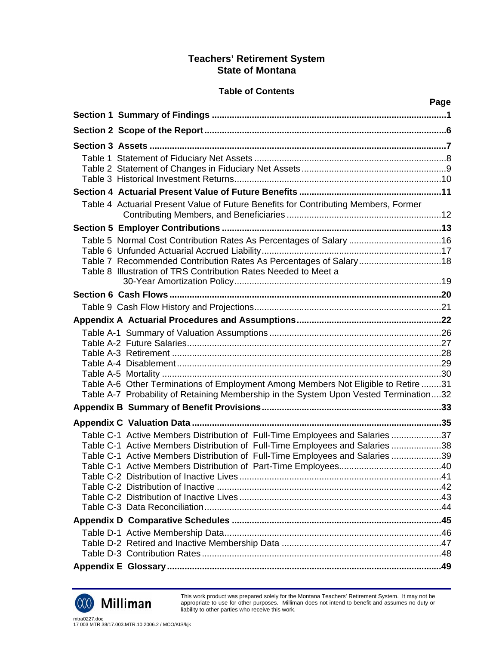## **Table of Contents**

|                                                                                       | Page |
|---------------------------------------------------------------------------------------|------|
|                                                                                       |      |
|                                                                                       |      |
|                                                                                       |      |
|                                                                                       |      |
|                                                                                       |      |
|                                                                                       |      |
|                                                                                       |      |
| Table 4 Actuarial Present Value of Future Benefits for Contributing Members, Former   |      |
|                                                                                       |      |
| Table 5 Normal Cost Contribution Rates As Percentages of Salary 16                    |      |
|                                                                                       |      |
| Table 7 Recommended Contribution Rates As Percentages of Salary18                     |      |
| Table 8 Illustration of TRS Contribution Rates Needed to Meet a                       |      |
|                                                                                       |      |
|                                                                                       |      |
|                                                                                       |      |
|                                                                                       |      |
|                                                                                       |      |
|                                                                                       |      |
|                                                                                       |      |
|                                                                                       |      |
| Table A-6 Other Terminations of Employment Among Members Not Eligible to Retire 31    |      |
| Table A-7 Probability of Retaining Membership in the System Upon Vested Termination32 |      |
|                                                                                       |      |
|                                                                                       |      |
| Table C-1 Active Members Distribution of Full-Time Employees and Salaries 37          |      |
| Table C-1 Active Members Distribution of Full-Time Employees and Salaries 38          |      |
| Table C-1 Active Members Distribution of Full-Time Employees and Salaries 39          |      |
|                                                                                       |      |
|                                                                                       |      |
|                                                                                       |      |
|                                                                                       |      |
|                                                                                       |      |
|                                                                                       |      |
|                                                                                       |      |
|                                                                                       |      |
|                                                                                       |      |



This work product was prepared solely for the Montana Teachers' Retirement System. It may not be appropriate to use for other purposes. Milliman does not intend to benefit and assumes no duty or liability to other parties who receive this work.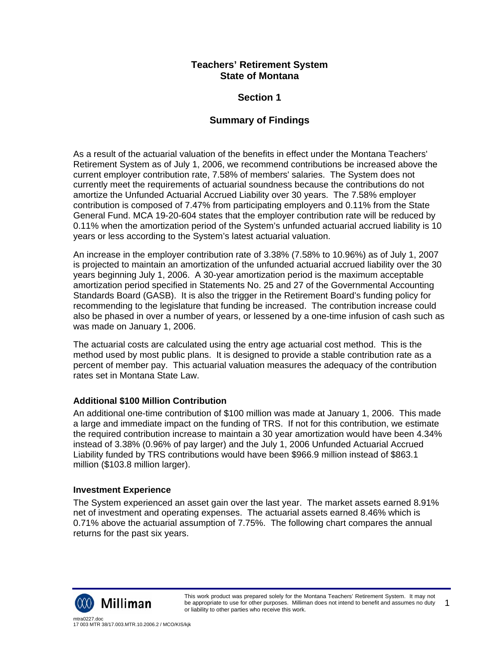# **Section 1**

# **Summary of Findings**

As a result of the actuarial valuation of the benefits in effect under the Montana Teachers' Retirement System as of July 1, 2006, we recommend contributions be increased above the current employer contribution rate, 7.58% of members' salaries. The System does not currently meet the requirements of actuarial soundness because the contributions do not amortize the Unfunded Actuarial Accrued Liability over 30 years. The 7.58% employer contribution is composed of 7.47% from participating employers and 0.11% from the State General Fund. MCA 19-20-604 states that the employer contribution rate will be reduced by 0.11% when the amortization period of the System's unfunded actuarial accrued liability is 10 years or less according to the System's latest actuarial valuation.

An increase in the employer contribution rate of 3.38% (7.58% to 10.96%) as of July 1, 2007 is projected to maintain an amortization of the unfunded actuarial accrued liability over the 30 years beginning July 1, 2006. A 30-year amortization period is the maximum acceptable amortization period specified in Statements No. 25 and 27 of the Governmental Accounting Standards Board (GASB). It is also the trigger in the Retirement Board's funding policy for recommending to the legislature that funding be increased. The contribution increase could also be phased in over a number of years, or lessened by a one-time infusion of cash such as was made on January 1, 2006.

The actuarial costs are calculated using the entry age actuarial cost method. This is the method used by most public plans. It is designed to provide a stable contribution rate as a percent of member pay. This actuarial valuation measures the adequacy of the contribution rates set in Montana State Law.

## **Additional \$100 Million Contribution**

An additional one-time contribution of \$100 million was made at January 1, 2006. This made a large and immediate impact on the funding of TRS. If not for this contribution, we estimate the required contribution increase to maintain a 30 year amortization would have been 4.34% instead of 3.38% (0.96% of pay larger) and the July 1, 2006 Unfunded Actuarial Accrued Liability funded by TRS contributions would have been \$966.9 million instead of \$863.1 million (\$103.8 million larger).

## **Investment Experience**

The System experienced an asset gain over the last year. The market assets earned 8.91% net of investment and operating expenses. The actuarial assets earned 8.46% which is 0.71% above the actuarial assumption of 7.75%. The following chart compares the annual returns for the past six years.

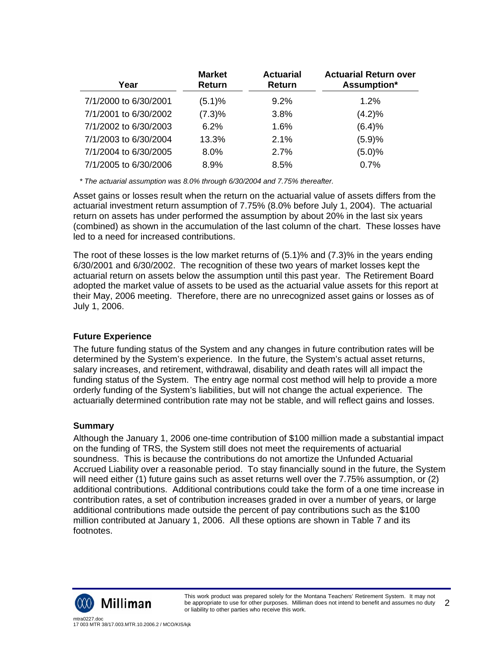| Year                  | <b>Market</b><br><b>Return</b> | <b>Actuarial</b><br><b>Return</b> | <b>Actuarial Return over</b><br>Assumption* |
|-----------------------|--------------------------------|-----------------------------------|---------------------------------------------|
| 7/1/2000 to 6/30/2001 | (5.1)%                         | 9.2%                              | 1.2%                                        |
| 7/1/2001 to 6/30/2002 | (7.3)%                         | 3.8%                              | (4.2)%                                      |
| 7/1/2002 to 6/30/2003 | 6.2%                           | 1.6%                              | (6.4)%                                      |
| 7/1/2003 to 6/30/2004 | 13.3%                          | 2.1%                              | (5.9)%                                      |
| 7/1/2004 to 6/30/2005 | 8.0%                           | 2.7%                              | (5.0)%                                      |
| 7/1/2005 to 6/30/2006 | 8.9%                           | 8.5%                              | 0.7%                                        |

 *\* The actuarial assumption was 8.0% through 6/30/2004 and 7.75% thereafter.* 

Asset gains or losses result when the return on the actuarial value of assets differs from the actuarial investment return assumption of 7.75% (8.0% before July 1, 2004). The actuarial return on assets has under performed the assumption by about 20% in the last six years (combined) as shown in the accumulation of the last column of the chart. These losses have led to a need for increased contributions.

The root of these losses is the low market returns of (5.1)% and (7.3)% in the years ending 6/30/2001 and 6/30/2002. The recognition of these two years of market losses kept the actuarial return on assets below the assumption until this past year. The Retirement Board adopted the market value of assets to be used as the actuarial value assets for this report at their May, 2006 meeting. Therefore, there are no unrecognized asset gains or losses as of July 1, 2006.

## **Future Experience**

The future funding status of the System and any changes in future contribution rates will be determined by the System's experience. In the future, the System's actual asset returns, salary increases, and retirement, withdrawal, disability and death rates will all impact the funding status of the System. The entry age normal cost method will help to provide a more orderly funding of the System's liabilities, but will not change the actual experience. The actuarially determined contribution rate may not be stable, and will reflect gains and losses.

## **Summary**

Although the January 1, 2006 one-time contribution of \$100 million made a substantial impact on the funding of TRS, the System still does not meet the requirements of actuarial soundness. This is because the contributions do not amortize the Unfunded Actuarial Accrued Liability over a reasonable period. To stay financially sound in the future, the System will need either (1) future gains such as asset returns well over the 7.75% assumption, or (2) additional contributions. Additional contributions could take the form of a one time increase in contribution rates, a set of contribution increases graded in over a number of years, or large additional contributions made outside the percent of pay contributions such as the \$100 million contributed at January 1, 2006. All these options are shown in Table 7 and its footnotes.

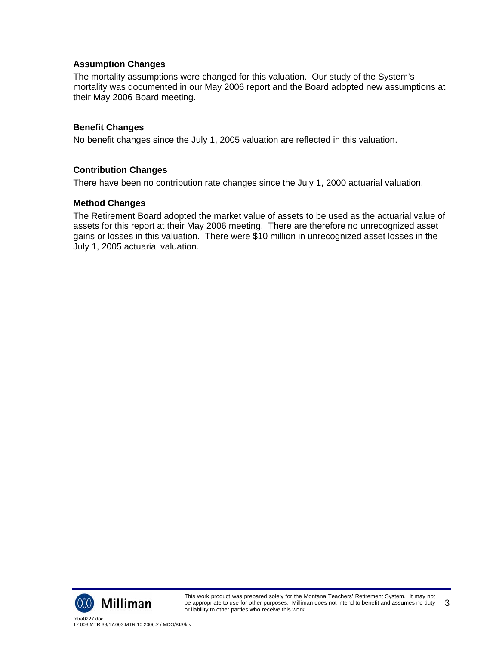## **Assumption Changes**

The mortality assumptions were changed for this valuation. Our study of the System's mortality was documented in our May 2006 report and the Board adopted new assumptions at their May 2006 Board meeting.

## **Benefit Changes**

No benefit changes since the July 1, 2005 valuation are reflected in this valuation.

## **Contribution Changes**

There have been no contribution rate changes since the July 1, 2000 actuarial valuation.

### **Method Changes**

The Retirement Board adopted the market value of assets to be used as the actuarial value of assets for this report at their May 2006 meeting. There are therefore no unrecognized asset gains or losses in this valuation. There were \$10 million in unrecognized asset losses in the July 1, 2005 actuarial valuation.

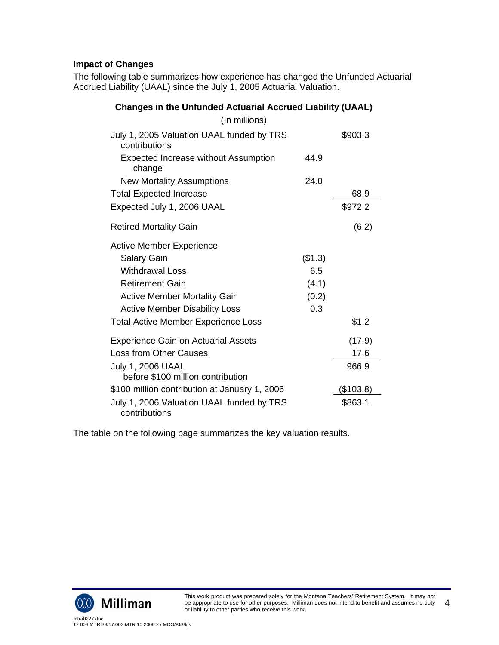# **Impact of Changes**

The following table summarizes how experience has changed the Unfunded Actuarial Accrued Liability (UAAL) since the July 1, 2005 Actuarial Valuation.

| <b>Changes in the Unfunded Actuarial Accrued Liability (UAAL)</b> |         |           |  |
|-------------------------------------------------------------------|---------|-----------|--|
| (In millions)                                                     |         |           |  |
| July 1, 2005 Valuation UAAL funded by TRS<br>contributions        |         | \$903.3   |  |
| <b>Expected Increase without Assumption</b><br>change             | 44.9    |           |  |
| <b>New Mortality Assumptions</b>                                  | 24.0    |           |  |
| <b>Total Expected Increase</b>                                    |         | 68.9      |  |
| Expected July 1, 2006 UAAL                                        |         | \$972.2   |  |
| <b>Retired Mortality Gain</b>                                     |         | (6.2)     |  |
| <b>Active Member Experience</b>                                   |         |           |  |
| <b>Salary Gain</b>                                                | (\$1.3) |           |  |
| <b>Withdrawal Loss</b>                                            | 6.5     |           |  |
| <b>Retirement Gain</b>                                            | (4.1)   |           |  |
| <b>Active Member Mortality Gain</b>                               | (0.2)   |           |  |
| <b>Active Member Disability Loss</b>                              | 0.3     |           |  |
| <b>Total Active Member Experience Loss</b>                        |         | \$1.2     |  |
| <b>Experience Gain on Actuarial Assets</b>                        |         | (17.9)    |  |
| <b>Loss from Other Causes</b>                                     |         | 17.6      |  |
| July 1, 2006 UAAL<br>before \$100 million contribution            |         | 966.9     |  |
| \$100 million contribution at January 1, 2006                     |         | (\$103.8) |  |
| July 1, 2006 Valuation UAAL funded by TRS<br>contributions        |         | \$863.1   |  |

The table on the following page summarizes the key valuation results.

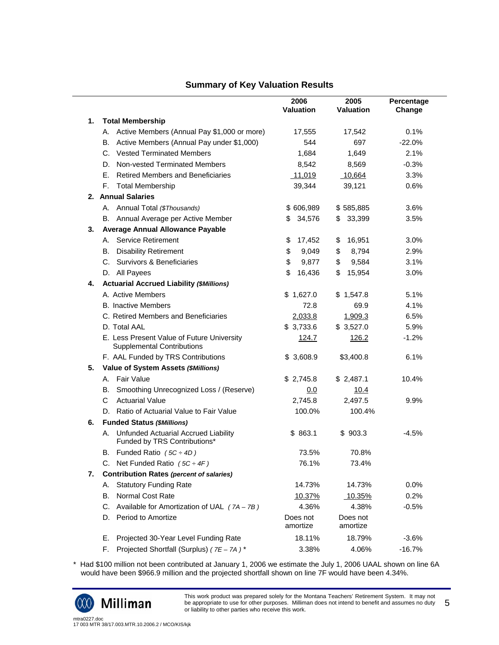## **Summary of Key Valuation Results**

|    |                                                                                 | 2006<br><b>Valuation</b> | 2005<br>Valuation    | Percentage<br>Change |
|----|---------------------------------------------------------------------------------|--------------------------|----------------------|----------------------|
| 1. | <b>Total Membership</b>                                                         |                          |                      |                      |
|    | A. Active Members (Annual Pay \$1,000 or more)                                  | 17,555                   | 17,542               | 0.1%                 |
|    | Active Members (Annual Pay under \$1,000)<br>В.                                 | 544                      | 697                  | $-22.0%$             |
|    | C. Vested Terminated Members                                                    | 1,684                    | 1,649                | 2.1%                 |
|    | D. Non-vested Terminated Members                                                | 8,542                    | 8,569                | $-0.3%$              |
|    | <b>Retired Members and Beneficiaries</b><br>Е.                                  | 11,019                   | 10,664               | 3.3%                 |
|    | F.<br><b>Total Membership</b>                                                   | 39,344                   | 39,121               | 0.6%                 |
|    | 2. Annual Salaries                                                              |                          |                      |                      |
|    | A. Annual Total (\$Thousands)                                                   | \$606,989                | \$585,885            | 3.6%                 |
|    | B. Annual Average per Active Member                                             | 34,576<br>\$             | 33,399<br>S.         | 3.5%                 |
| 3. | <b>Average Annual Allowance Payable</b>                                         |                          |                      |                      |
|    | <b>Service Retirement</b><br>А.                                                 | \$<br>17,452             | \$<br>16,951         | 3.0%                 |
|    | <b>Disability Retirement</b><br>В.                                              | \$<br>9,049              | \$<br>8,794          | 2.9%                 |
|    | C. Survivors & Beneficiaries                                                    | \$<br>9,877              | \$<br>9,584          | 3.1%                 |
|    | D. All Payees                                                                   | \$<br>16,436             | \$<br>15,954         | 3.0%                 |
| 4. | <b>Actuarial Accrued Liability (\$Millions)</b>                                 |                          |                      |                      |
|    | A. Active Members                                                               | \$1,627.0                | \$1,547.8            | 5.1%                 |
|    | <b>B.</b> Inactive Members                                                      | 72.8                     | 69.9                 | 4.1%                 |
|    | C. Retired Members and Beneficiaries                                            | 2,033.8                  | 1,909.3              | 6.5%                 |
|    | D. Total AAL                                                                    | \$3,733.6                | \$3,527.0            | 5.9%                 |
|    | E. Less Present Value of Future University<br><b>Supplemental Contributions</b> | 124.7                    | 126.2                | $-1.2%$              |
|    | F. AAL Funded by TRS Contributions                                              | \$3,608.9                | \$3,400.8            | 6.1%                 |
| 5. | Value of System Assets (\$Millions)                                             |                          |                      |                      |
|    | A. Fair Value                                                                   | \$2,745.8                | \$2,487.1            | 10.4%                |
|    | B. Smoothing Unrecognized Loss / (Reserve)                                      | 0.0                      | 10.4                 |                      |
|    | <b>Actuarial Value</b><br>C                                                     | 2,745.8                  | 2,497.5              | 9.9%                 |
|    | D. Ratio of Actuarial Value to Fair Value                                       | 100.0%                   | 100.4%               |                      |
| 6. | <b>Funded Status (\$Millions)</b>                                               |                          |                      |                      |
|    | Unfunded Actuarial Accrued Liability<br>А.<br>Funded by TRS Contributions*      | \$863.1                  | \$903.3              | $-4.5%$              |
|    | B. Funded Ratio $(5C \div 4D)$                                                  | 73.5%                    | 70.8%                |                      |
|    | C. Net Funded Ratio $(5C \div 4F)$                                              | 76.1%                    | 73.4%                |                      |
| 7. | <b>Contribution Rates (percent of salaries)</b>                                 |                          |                      |                      |
|    | <b>Statutory Funding Rate</b><br>А.                                             | 14.73%                   | 14.73%               | 0.0%                 |
|    | Normal Cost Rate<br>В.                                                          | <u>10.37%</u>            | <u>10.35%</u>        | 0.2%                 |
|    | Available for Amortization of UAL $(7A - 7B)$<br>C.                             | 4.36%                    | 4.38%                | $-0.5%$              |
|    | Period to Amortize<br>D.                                                        | Does not<br>amortize     | Does not<br>amortize |                      |
|    | Projected 30-Year Level Funding Rate<br>Е.                                      | 18.11%                   | 18.79%               | $-3.6%$              |
|    | Projected Shortfall (Surplus) (7E - 7A)*<br>F.                                  | 3.38%                    | 4.06%                | $-16.7%$             |

\* Had \$100 million not been contributed at January 1, 2006 we estimate the July 1, 2006 UAAL shown on line 6A would have been \$966.9 million and the projected shortfall shown on line 7F would have been 4.34%.



 $\overline{\phantom{0}}$ 

This work product was prepared solely for the Montana Teachers' Retirement System. It may not be appropriate to use for other purposes. Milliman does not intend to benefit and assumes no duty or liability to other parties who receive this work. 5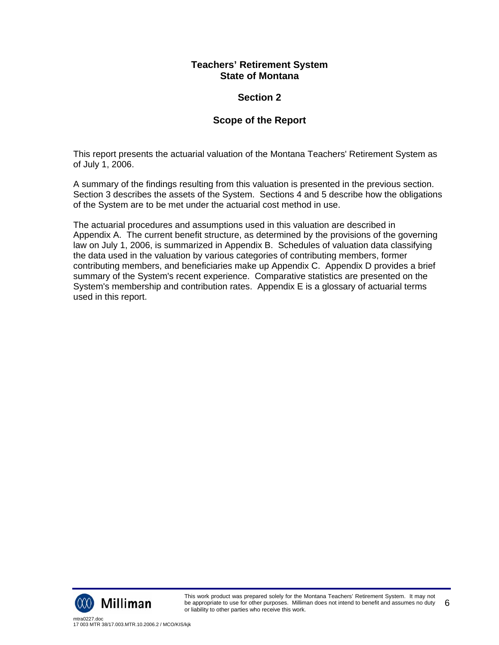# **Section 2**

# **Scope of the Report**

This report presents the actuarial valuation of the Montana Teachers' Retirement System as of July 1, 2006.

A summary of the findings resulting from this valuation is presented in the previous section. Section 3 describes the assets of the System. Sections 4 and 5 describe how the obligations of the System are to be met under the actuarial cost method in use.

The actuarial procedures and assumptions used in this valuation are described in Appendix A. The current benefit structure, as determined by the provisions of the governing law on July 1, 2006, is summarized in Appendix B. Schedules of valuation data classifying the data used in the valuation by various categories of contributing members, former contributing members, and beneficiaries make up Appendix C. Appendix D provides a brief summary of the System's recent experience. Comparative statistics are presented on the System's membership and contribution rates. Appendix E is a glossary of actuarial terms used in this report.

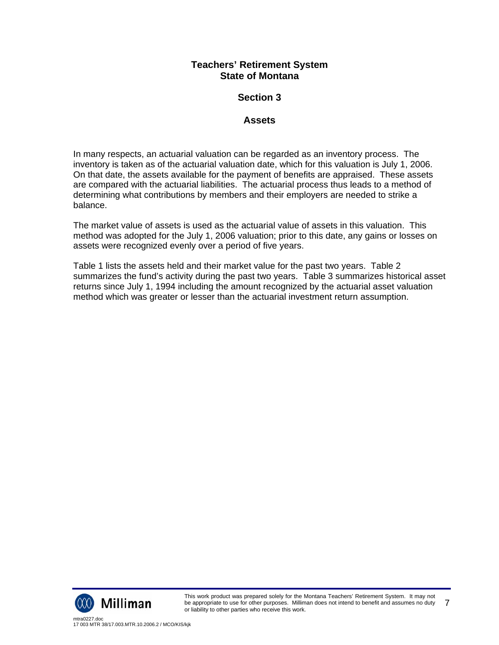# **Section 3**

## **Assets**

In many respects, an actuarial valuation can be regarded as an inventory process. The inventory is taken as of the actuarial valuation date, which for this valuation is July 1, 2006. On that date, the assets available for the payment of benefits are appraised. These assets are compared with the actuarial liabilities. The actuarial process thus leads to a method of determining what contributions by members and their employers are needed to strike a balance.

The market value of assets is used as the actuarial value of assets in this valuation. This method was adopted for the July 1, 2006 valuation; prior to this date, any gains or losses on assets were recognized evenly over a period of five years.

Table 1 lists the assets held and their market value for the past two years. Table 2 summarizes the fund's activity during the past two years. Table 3 summarizes historical asset returns since July 1, 1994 including the amount recognized by the actuarial asset valuation method which was greater or lesser than the actuarial investment return assumption.

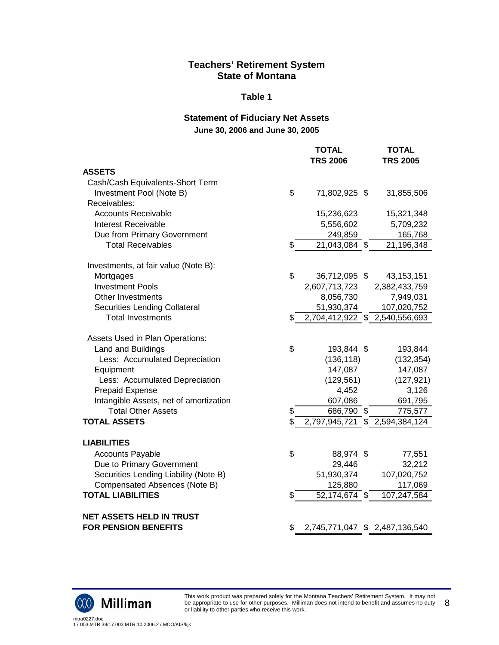#### **Table 1**

# **Statement of Fiduciary Net Assets June 30, 2006 and June 30, 2005**

|                                        | <b>TOTAL</b><br><b>TRS 2006</b> | <b>TOTAL</b><br><b>TRS 2005</b> |
|----------------------------------------|---------------------------------|---------------------------------|
| <b>ASSETS</b>                          |                                 |                                 |
| Cash/Cash Equivalents-Short Term       |                                 |                                 |
| Investment Pool (Note B)               | \$<br>71,802,925 \$             | 31,855,506                      |
| Receivables:                           |                                 |                                 |
| <b>Accounts Receivable</b>             | 15,236,623                      | 15,321,348                      |
| <b>Interest Receivable</b>             | 5,556,602                       | 5,709,232                       |
| Due from Primary Government            | 249,859                         | 165,768                         |
| <b>Total Receivables</b>               | \$<br>21,043,084 \$             | 21,196,348                      |
| Investments, at fair value (Note B):   |                                 |                                 |
| Mortgages                              | \$<br>36,712,095 \$             | 43, 153, 151                    |
| <b>Investment Pools</b>                | 2,607,713,723                   | 2,382,433,759                   |
| Other Investments                      | 8,056,730                       | 7,949,031                       |
| Securities Lending Collateral          | 51,930,374                      | 107,020,752                     |
| <b>Total Investments</b>               | \$                              | 2,704,412,922 \$ 2,540,556,693  |
| Assets Used in Plan Operations:        |                                 |                                 |
| Land and Buildings                     | \$<br>193,844 \$                | 193,844                         |
| Less: Accumulated Depreciation         | (136, 118)                      | (132, 354)                      |
| Equipment                              | 147,087                         | 147,087                         |
| Less: Accumulated Depreciation         | (129, 561)                      | (127, 921)                      |
| <b>Prepaid Expense</b>                 | 4,452                           | 3,126                           |
| Intangible Assets, net of amortization | 607,086                         | 691,795                         |
| <b>Total Other Assets</b>              | \$<br>686,790 \$                | 775,577                         |
| <b>TOTAL ASSETS</b>                    | \$                              | 2,797,945,721 \$ 2,594,384,124  |
| <b>LIABILITIES</b>                     |                                 |                                 |
| <b>Accounts Payable</b>                | \$<br>88,974 \$                 | 77,551                          |
| Due to Primary Government              | 29,446                          | 32,212                          |
| Securities Lending Liability (Note B)  | 51,930,374                      | 107,020,752                     |
| Compensated Absences (Note B)          | 125,880                         | 117,069                         |
| <b>TOTAL LIABILITIES</b>               | \$<br>52,174,674 \$             | 107,247,584                     |
| <b>NET ASSETS HELD IN TRUST</b>        |                                 |                                 |
| <b>FOR PENSION BENEFITS</b>            | \$                              | 2,745,771,047 \$ 2,487,136,540  |



This work product was prepared solely for the Montana Teachers' Retirement System. It may not be appropriate to use for other purposes. Milliman does not intend to benefit and assumes no duty or liability to other parties who receive this work. 8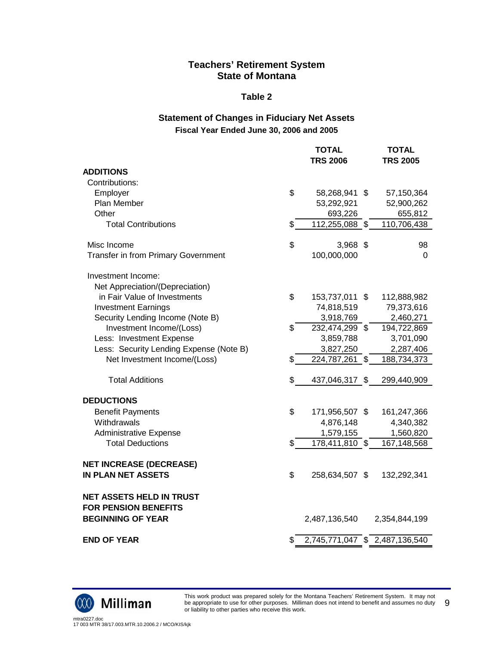#### **Table 2**

## **Statement of Changes in Fiduciary Net Assets Fiscal Year Ended June 30, 2006 and 2005**

| <b>TOTAL</b>   |                                                                      | <b>TOTAL</b><br><b>TRS 2005</b>                                                                                                                                                                               |
|----------------|----------------------------------------------------------------------|---------------------------------------------------------------------------------------------------------------------------------------------------------------------------------------------------------------|
|                |                                                                      |                                                                                                                                                                                                               |
|                |                                                                      |                                                                                                                                                                                                               |
| \$             |                                                                      | 57,150,364                                                                                                                                                                                                    |
| 53,292,921     |                                                                      | 52,900,262                                                                                                                                                                                                    |
| 693,226        |                                                                      | 655,812                                                                                                                                                                                                       |
| \$             |                                                                      | 110,706,438                                                                                                                                                                                                   |
| \$             |                                                                      | 98                                                                                                                                                                                                            |
| 100,000,000    |                                                                      | 0                                                                                                                                                                                                             |
|                |                                                                      |                                                                                                                                                                                                               |
|                |                                                                      |                                                                                                                                                                                                               |
|                |                                                                      | 112,888,982                                                                                                                                                                                                   |
|                |                                                                      | 79,373,616                                                                                                                                                                                                    |
|                |                                                                      | 2,460,271                                                                                                                                                                                                     |
|                |                                                                      | 194,722,869                                                                                                                                                                                                   |
|                |                                                                      | 3,701,090                                                                                                                                                                                                     |
|                |                                                                      | 2,287,406                                                                                                                                                                                                     |
|                |                                                                      | 188,734,373                                                                                                                                                                                                   |
| \$             |                                                                      | 299,440,909                                                                                                                                                                                                   |
|                |                                                                      |                                                                                                                                                                                                               |
| \$             |                                                                      | 161,247,366                                                                                                                                                                                                   |
| 4,876,148      |                                                                      | 4,340,382                                                                                                                                                                                                     |
| 1,579,155      |                                                                      | 1,560,820                                                                                                                                                                                                     |
| \$             |                                                                      | 167,148,568                                                                                                                                                                                                   |
|                |                                                                      |                                                                                                                                                                                                               |
| \$             |                                                                      | 132,292,341                                                                                                                                                                                                   |
|                |                                                                      |                                                                                                                                                                                                               |
|                |                                                                      |                                                                                                                                                                                                               |
| 2,487,136,540  |                                                                      | 2,354,844,199                                                                                                                                                                                                 |
| \$             |                                                                      |                                                                                                                                                                                                               |
| \$<br>\$<br>\$ | <b>TRS 2006</b><br>74,818,519<br>3,918,769<br>3,859,788<br>3,827,250 | 58,268,941 \$<br>112,255,088 \$<br>$3,968$ \$<br>153,737,011 \$<br>232,474,299 \$<br>224,787,261 \$<br>437,046,317 \$<br>171,956,507 \$<br>178,411,810 \$<br>258,634,507 \$<br>2,745,771,047 \$ 2,487,136,540 |



This work product was prepared solely for the Montana Teachers' Retirement System. It may not be appropriate to use for other purposes. Milliman does not intend to benefit and assumes no duty or liability to other parties who receive this work. 9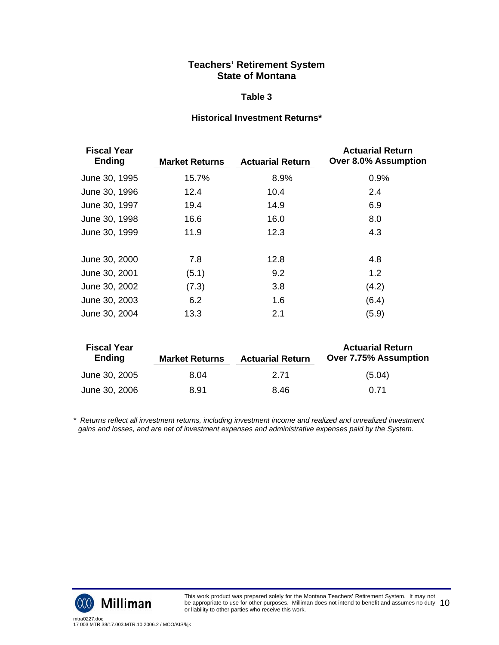#### **Table 3**

## **Historical Investment Returns\***

| <b>Fiscal Year</b><br><b>Ending</b> | <b>Market Returns</b> | <b>Actuarial Return</b> | <b>Actuarial Return</b><br><b>Over 8.0% Assumption</b> |
|-------------------------------------|-----------------------|-------------------------|--------------------------------------------------------|
| June 30, 1995                       | 15.7%                 | 8.9%                    | 0.9%                                                   |
| June 30, 1996                       | 12.4                  | 10.4                    | 2.4                                                    |
| June 30, 1997                       | 19.4                  | 14.9                    | 6.9                                                    |
| June 30, 1998                       | 16.6                  | 16.0                    | 8.0                                                    |
| June 30, 1999                       | 11.9                  | 12.3                    | 4.3                                                    |
| June 30, 2000                       | 7.8                   | 12.8                    | 4.8                                                    |
| June 30, 2001                       | (5.1)                 | 9.2                     | 1.2                                                    |
| June 30, 2002                       | (7.3)                 | 3.8                     | (4.2)                                                  |
| June 30, 2003                       | 6.2                   | 1.6                     | (6.4)                                                  |
| June 30, 2004                       | 13.3                  | 2.1                     | (5.9)                                                  |

| <b>Fiscal Year</b><br><b>Ending</b> | <b>Market Returns</b> | <b>Actuarial Return</b> | <b>Actuarial Return</b><br><b>Over 7.75% Assumption</b> |
|-------------------------------------|-----------------------|-------------------------|---------------------------------------------------------|
| June 30, 2005                       | 8.04                  | 2.71                    | (5.04)                                                  |
| June 30, 2006                       | 8.91                  | 8.46                    | 0.71                                                    |

*\* Returns reflect all investment returns, including investment income and realized and unrealized investment gains and losses, and are net of investment expenses and administrative expenses paid by the System.* 

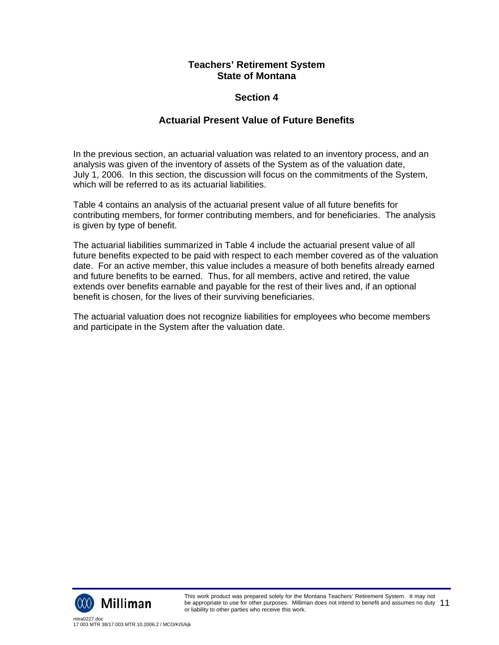# **Section 4**

# **Actuarial Present Value of Future Benefits**

In the previous section, an actuarial valuation was related to an inventory process, and an analysis was given of the inventory of assets of the System as of the valuation date, July 1, 2006. In this section, the discussion will focus on the commitments of the System, which will be referred to as its actuarial liabilities.

Table 4 contains an analysis of the actuarial present value of all future benefits for contributing members, for former contributing members, and for beneficiaries. The analysis is given by type of benefit.

The actuarial liabilities summarized in Table 4 include the actuarial present value of all future benefits expected to be paid with respect to each member covered as of the valuation date. For an active member, this value includes a measure of both benefits already earned and future benefits to be earned. Thus, for all members, active and retired, the value extends over benefits earnable and payable for the rest of their lives and, if an optional benefit is chosen, for the lives of their surviving beneficiaries.

The actuarial valuation does not recognize liabilities for employees who become members and participate in the System after the valuation date.

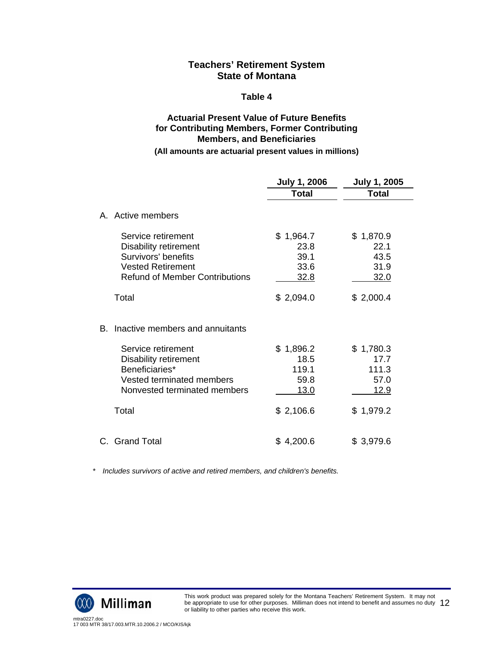#### **Table 4**

# **Actuarial Present Value of Future Benefits for Contributing Members, Former Contributing Members, and Beneficiaries**

#### **(All amounts are actuarial present values in millions)**

|    |                                                                                                                                                | <b>July 1, 2006</b>                       | <b>July 1, 2005</b>                       |
|----|------------------------------------------------------------------------------------------------------------------------------------------------|-------------------------------------------|-------------------------------------------|
|    |                                                                                                                                                | Total                                     | <b>Total</b>                              |
|    | A. Active members                                                                                                                              |                                           |                                           |
|    | Service retirement<br><b>Disability retirement</b><br>Survivors' benefits<br><b>Vested Retirement</b><br><b>Refund of Member Contributions</b> | \$1,964.7<br>23.8<br>39.1<br>33.6<br>32.8 | \$1,870.9<br>22.1<br>43.5<br>31.9<br>32.0 |
|    | Total                                                                                                                                          | \$2,094.0                                 | \$2,000.4                                 |
| B. | Inactive members and annuitants                                                                                                                |                                           |                                           |
|    | Service retirement<br><b>Disability retirement</b>                                                                                             | \$1,896.2<br>18.5                         | \$1,780.3<br>17.7                         |
|    | Beneficiaries*                                                                                                                                 | 119.1                                     | 111.3                                     |
|    | Vested terminated members<br>Nonvested terminated members                                                                                      | 59.8<br><u> 13.0</u>                      | 57.0<br><u>12.9</u>                       |
|    | Total                                                                                                                                          | \$2,106.6                                 | \$1,979.2                                 |
|    | C. Grand Total                                                                                                                                 | \$4,200.6                                 | \$3,979.6                                 |

 *\* Includes survivors of active and retired members, and children's benefits.* 

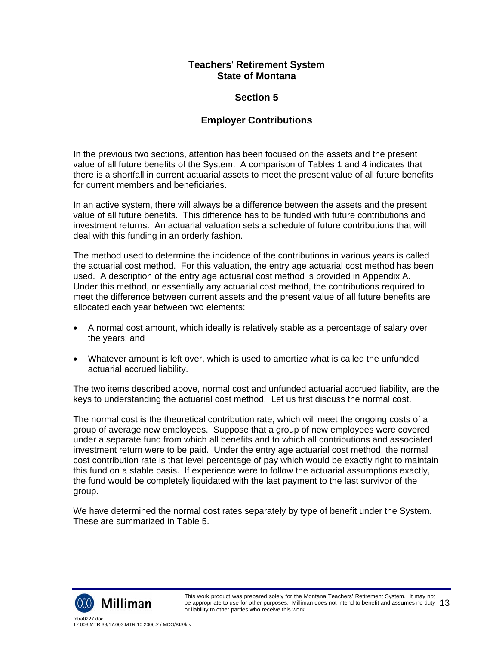# **Section 5**

# **Employer Contributions**

In the previous two sections, attention has been focused on the assets and the present value of all future benefits of the System. A comparison of Tables 1 and 4 indicates that there is a shortfall in current actuarial assets to meet the present value of all future benefits for current members and beneficiaries.

In an active system, there will always be a difference between the assets and the present value of all future benefits. This difference has to be funded with future contributions and investment returns. An actuarial valuation sets a schedule of future contributions that will deal with this funding in an orderly fashion.

The method used to determine the incidence of the contributions in various years is called the actuarial cost method. For this valuation, the entry age actuarial cost method has been used. A description of the entry age actuarial cost method is provided in Appendix A. Under this method, or essentially any actuarial cost method, the contributions required to meet the difference between current assets and the present value of all future benefits are allocated each year between two elements:

- A normal cost amount, which ideally is relatively stable as a percentage of salary over the years; and
- Whatever amount is left over, which is used to amortize what is called the unfunded actuarial accrued liability.

The two items described above, normal cost and unfunded actuarial accrued liability, are the keys to understanding the actuarial cost method. Let us first discuss the normal cost.

The normal cost is the theoretical contribution rate, which will meet the ongoing costs of a group of average new employees. Suppose that a group of new employees were covered under a separate fund from which all benefits and to which all contributions and associated investment return were to be paid. Under the entry age actuarial cost method, the normal cost contribution rate is that level percentage of pay which would be exactly right to maintain this fund on a stable basis. If experience were to follow the actuarial assumptions exactly, the fund would be completely liquidated with the last payment to the last survivor of the group.

We have determined the normal cost rates separately by type of benefit under the System. These are summarized in Table 5.

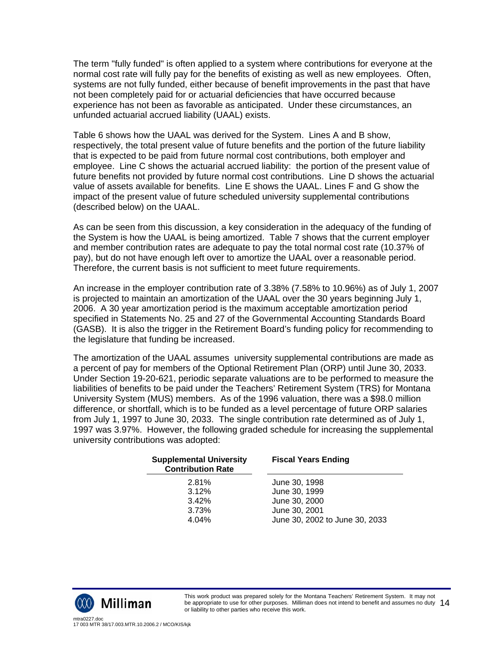The term "fully funded" is often applied to a system where contributions for everyone at the normal cost rate will fully pay for the benefits of existing as well as new employees. Often, systems are not fully funded, either because of benefit improvements in the past that have not been completely paid for or actuarial deficiencies that have occurred because experience has not been as favorable as anticipated. Under these circumstances, an unfunded actuarial accrued liability (UAAL) exists.

Table 6 shows how the UAAL was derived for the System. Lines A and B show, respectively, the total present value of future benefits and the portion of the future liability that is expected to be paid from future normal cost contributions, both employer and employee. Line C shows the actuarial accrued liability: the portion of the present value of future benefits not provided by future normal cost contributions. Line D shows the actuarial value of assets available for benefits. Line E shows the UAAL. Lines F and G show the impact of the present value of future scheduled university supplemental contributions (described below) on the UAAL.

As can be seen from this discussion, a key consideration in the adequacy of the funding of the System is how the UAAL is being amortized. Table 7 shows that the current employer and member contribution rates are adequate to pay the total normal cost rate (10.37% of pay), but do not have enough left over to amortize the UAAL over a reasonable period. Therefore, the current basis is not sufficient to meet future requirements.

An increase in the employer contribution rate of 3.38% (7.58% to 10.96%) as of July 1, 2007 is projected to maintain an amortization of the UAAL over the 30 years beginning July 1, 2006. A 30 year amortization period is the maximum acceptable amortization period specified in Statements No. 25 and 27 of the Governmental Accounting Standards Board (GASB). It is also the trigger in the Retirement Board's funding policy for recommending to the legislature that funding be increased.

The amortization of the UAAL assumes university supplemental contributions are made as a percent of pay for members of the Optional Retirement Plan (ORP) until June 30, 2033. Under Section 19-20-621, periodic separate valuations are to be performed to measure the liabilities of benefits to be paid under the Teachers' Retirement System (TRS) for Montana University System (MUS) members. As of the 1996 valuation, there was a \$98.0 million difference, or shortfall, which is to be funded as a level percentage of future ORP salaries from July 1, 1997 to June 30, 2033. The single contribution rate determined as of July 1, 1997 was 3.97%. However, the following graded schedule for increasing the supplemental university contributions was adopted:

| <b>Supplemental University</b><br><b>Contribution Rate</b> | <b>Fiscal Years Ending</b>     |  |  |
|------------------------------------------------------------|--------------------------------|--|--|
| 2.81%                                                      | June 30, 1998                  |  |  |
| 3.12%                                                      | June 30, 1999                  |  |  |
| 3.42%                                                      | June 30, 2000                  |  |  |
| 3.73%                                                      | June 30, 2001                  |  |  |
| 4.04%                                                      | June 30, 2002 to June 30, 2033 |  |  |

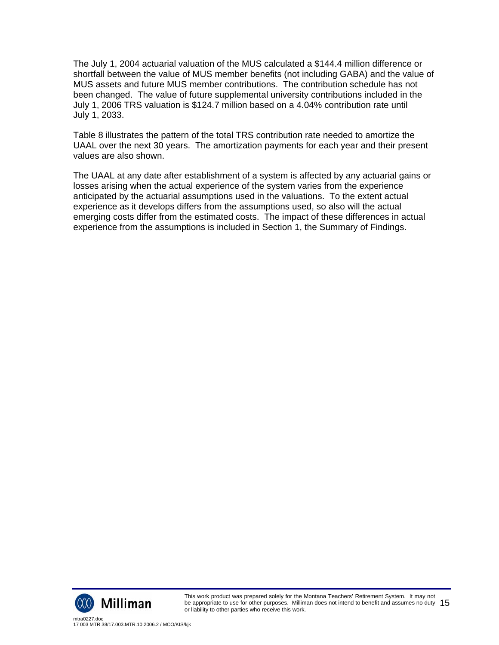The July 1, 2004 actuarial valuation of the MUS calculated a \$144.4 million difference or shortfall between the value of MUS member benefits (not including GABA) and the value of MUS assets and future MUS member contributions. The contribution schedule has not been changed. The value of future supplemental university contributions included in the July 1, 2006 TRS valuation is \$124.7 million based on a 4.04% contribution rate until July 1, 2033.

Table 8 illustrates the pattern of the total TRS contribution rate needed to amortize the UAAL over the next 30 years. The amortization payments for each year and their present values are also shown.

The UAAL at any date after establishment of a system is affected by any actuarial gains or losses arising when the actual experience of the system varies from the experience anticipated by the actuarial assumptions used in the valuations. To the extent actual experience as it develops differs from the assumptions used, so also will the actual emerging costs differ from the estimated costs. The impact of these differences in actual experience from the assumptions is included in Section 1, the Summary of Findings.

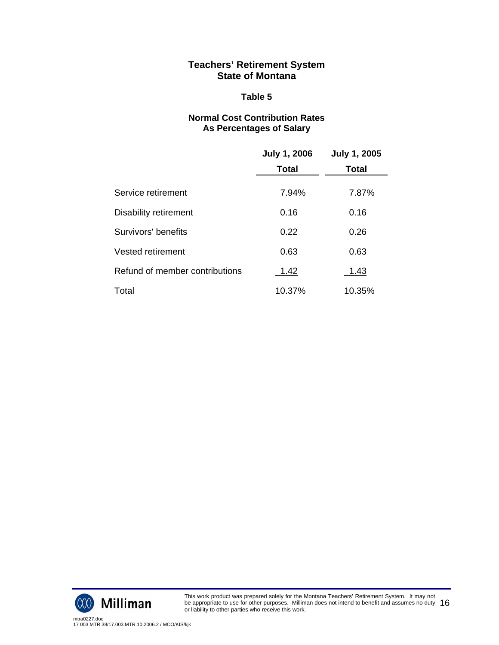### **Table 5**

## **Normal Cost Contribution Rates As Percentages of Salary**

|                                | <b>July 1, 2006</b> | <b>July 1, 2005</b> |
|--------------------------------|---------------------|---------------------|
|                                | <b>Total</b>        | <b>Total</b>        |
| Service retirement             | 7.94%               | 7.87%               |
| Disability retirement          | 0.16                | 0.16                |
| Survivors' benefits            | 0.22                | 0.26                |
| Vested retirement              | 0.63                | 0.63                |
| Refund of member contributions | <u>1.42</u>         | <u>1.43</u>         |
| Total                          | 10.37%              | 10.35%              |



This work product was prepared solely for the Montana Teachers' Retirement System. It may not be appropriate to use for other purposes. Milliman does not intend to benefit and assumes no duty be appropriate to use for other purposes. Milliman does not intend to benefit and assumes no duty  $~16~$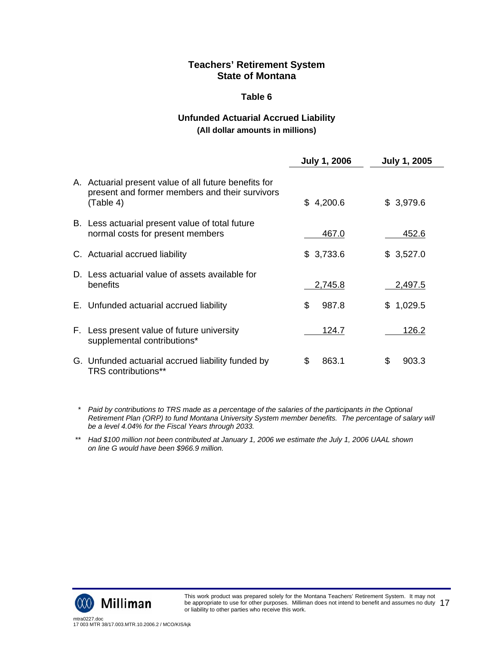### **Table 6**

# **Unfunded Actuarial Accrued Liability**

## **(All dollar amounts in millions)**

|                                                                                                                      | <b>July 1, 2006</b> | <b>July 1, 2005</b> |
|----------------------------------------------------------------------------------------------------------------------|---------------------|---------------------|
| A. Actuarial present value of all future benefits for<br>present and former members and their survivors<br>(Table 4) | 4,200.6<br>\$       | \$3,979.6           |
| B. Less actuarial present value of total future<br>normal costs for present members                                  | 467.0               | 452.6               |
| C. Actuarial accrued liability                                                                                       | \$3,733.6           | \$3,527.0           |
| D. Less actuarial value of assets available for<br>benefits                                                          | 2,745.8             | 2,497.5             |
| E. Unfunded actuarial accrued liability                                                                              | \$<br>987.8         | \$1,029.5           |
| F. Less present value of future university<br>supplemental contributions*                                            | <u> 124.7</u>       | <u>126.2</u>        |
| G. Unfunded actuarial accrued liability funded by<br>TRS contributions**                                             | 863.1<br>S          | \$<br>903.3         |

 *\* Paid by contributions to TRS made as a percentage of the salaries of the participants in the Optional Retirement Plan (ORP) to fund Montana University System member benefits. The percentage of salary will be a level 4.04% for the Fiscal Years through 2033.* 

 *\*\* Had \$100 million not been contributed at January 1, 2006 we estimate the July 1, 2006 UAAL shown on line G would have been \$966.9 million.* 

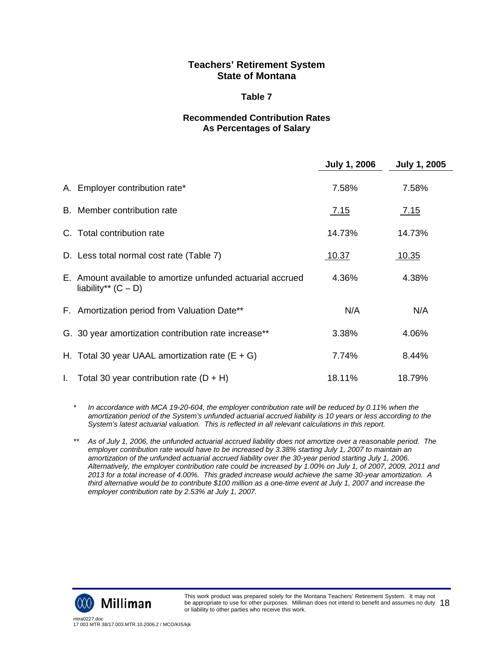#### **Table 7**

## **Recommended Contribution Rates As Percentages of Salary**

|                                                                                     | <b>July 1, 2006</b> | <b>July 1, 2005</b> |
|-------------------------------------------------------------------------------------|---------------------|---------------------|
| A. Employer contribution rate*                                                      | 7.58%               | 7.58%               |
| B. Member contribution rate                                                         | 7.15                | <u>7.15</u>         |
| C. Total contribution rate                                                          | 14.73%              | 14.73%              |
| D. Less total normal cost rate (Table 7)                                            | <u> 10.37</u>       | <u> 10.35</u>       |
| E. Amount available to amortize unfunded actuarial accrued<br>liability** $(C - D)$ | 4.36%               | 4.38%               |
| F. Amortization period from Valuation Date**                                        | N/A                 | N/A                 |
| G. 30 year amortization contribution rate increase**                                | 3.38%               | 4.06%               |
| H. Total 30 year UAAL amortization rate $(E + G)$                                   | 7.74%               | 8.44%               |
| 1. Total 30 year contribution rate $(D + H)$                                        | 18.11%              | 18.79%              |

*\* In accordance with MCA 19-20-604, the employer contribution rate will be reduced by 0.11% when the amortization period of the System's unfunded actuarial accrued liability is 10 years or less according to the System's latest actuarial valuation. This is reflected in all relevant calculations in this report.* 

*\*\* As of July 1, 2006, the unfunded actuarial accrued liability does not amortize over a reasonable period. The employer contribution rate would have to be increased by 3.38% starting July 1, 2007 to maintain an amortization of the unfunded actuarial accrued liability over the 30-year period starting July 1, 2006. Alternatively, the employer contribution rate could be increased by 1.00% on July 1, of 2007, 2009, 2011 and 2013 for a total increase of 4.00%. This graded increase would achieve the same 30-year amortization. A third alternative would be to contribute \$100 million as a one-time event at July 1, 2007 and increase the employer contribution rate by 2.53% at July 1, 2007.* 

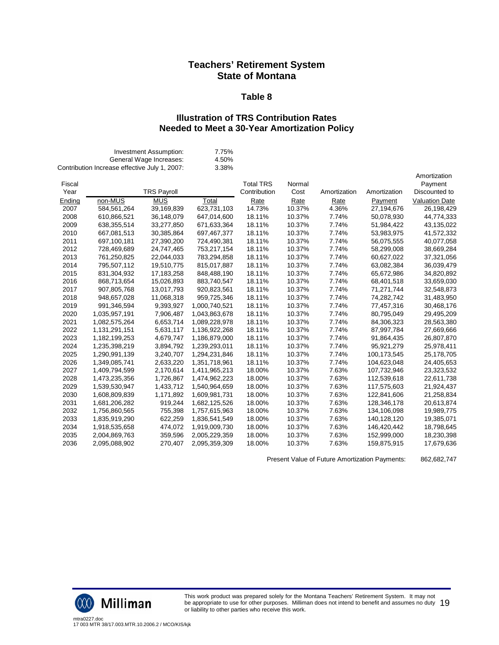#### **Table 8**

## **Illustration of TRS Contribution Rates Needed to Meet a 30-Year Amortization Policy**

|                | Contribution Increase effective July 1, 2007: | Investment Assumption:<br>General Wage Increases: | 7.75%<br>4.50%<br>3.38% |                                  |                |              |              |                                          |
|----------------|-----------------------------------------------|---------------------------------------------------|-------------------------|----------------------------------|----------------|--------------|--------------|------------------------------------------|
| Fiscal<br>Year |                                               | <b>TRS Payroll</b>                                |                         | <b>Total TRS</b><br>Contribution | Normal<br>Cost | Amortization | Amortization | Amortization<br>Payment<br>Discounted to |
| Ending         | non-MUS                                       | <b>MUS</b>                                        | Total                   | Rate                             | Rate           | Rate         | Payment      | <b>Valuation Date</b>                    |
| 2007           | 584,561,264                                   | 39,169,839                                        | 623,731,103             | 14.73%                           | 10.37%         | 4.36%        | 27,194,676   | 26,198,429                               |
| 2008           | 610,866,521                                   | 36,148,079                                        | 647,014,600             | 18.11%                           | 10.37%         | 7.74%        | 50,078,930   | 44,774,333                               |
| 2009           | 638,355,514                                   | 33,277,850                                        | 671,633,364             | 18.11%                           | 10.37%         | 7.74%        | 51,984,422   | 43,135,022                               |
| 2010           | 667,081,513                                   | 30,385,864                                        | 697,467,377             | 18.11%                           | 10.37%         | 7.74%        | 53,983,975   | 41,572,332                               |
| 2011           | 697,100,181                                   | 27,390,200                                        | 724,490,381             | 18.11%                           | 10.37%         | 7.74%        | 56,075,555   | 40,077,058                               |
| 2012           | 728,469,689                                   | 24,747,465                                        | 753,217,154             | 18.11%                           | 10.37%         | 7.74%        | 58,299,008   | 38,669,284                               |
| 2013           | 761,250,825                                   | 22,044,033                                        | 783,294,858             | 18.11%                           | 10.37%         | 7.74%        | 60,627,022   | 37,321,056                               |
| 2014           | 795,507,112                                   | 19,510,775                                        | 815,017,887             | 18.11%                           | 10.37%         | 7.74%        | 63,082,384   | 36,039,479                               |
| 2015           | 831,304,932                                   | 17,183,258                                        | 848,488,190             | 18.11%                           | 10.37%         | 7.74%        | 65,672,986   | 34,820,892                               |
| 2016           | 868,713,654                                   | 15,026,893                                        | 883,740,547             | 18.11%                           | 10.37%         | 7.74%        | 68,401,518   | 33,659,030                               |
| 2017           | 907,805,768                                   | 13,017,793                                        | 920,823,561             | 18.11%                           | 10.37%         | 7.74%        | 71,271,744   | 32,548,873                               |
| 2018           | 948,657,028                                   | 11,068,318                                        | 959,725,346             | 18.11%                           | 10.37%         | 7.74%        | 74,282,742   | 31,483,950                               |
| 2019           | 991,346,594                                   | 9,393,927                                         | 1,000,740,521           | 18.11%                           | 10.37%         | 7.74%        | 77,457,316   | 30,468,176                               |
| 2020           | 1,035,957,191                                 | 7,906,487                                         | 1,043,863,678           | 18.11%                           | 10.37%         | 7.74%        | 80,795,049   | 29,495,209                               |
| 2021           | 1,082,575,264                                 | 6,653,714                                         | 1,089,228,978           | 18.11%                           | 10.37%         | 7.74%        | 84,306,323   | 28,563,380                               |
| 2022           | 1,131,291,151                                 | 5,631,117                                         | 1,136,922,268           | 18.11%                           | 10.37%         | 7.74%        | 87,997,784   | 27,669,666                               |
| 2023           | 1,182,199,253                                 | 4,679,747                                         | 1,186,879,000           | 18.11%                           | 10.37%         | 7.74%        | 91,864,435   | 26,807,870                               |
| 2024           | 1,235,398,219                                 | 3,894,792                                         | 1,239,293,011           | 18.11%                           | 10.37%         | 7.74%        | 95,921,279   | 25,978,411                               |
| 2025           | 1,290,991,139                                 | 3,240,707                                         | 1,294,231,846           | 18.11%                           | 10.37%         | 7.74%        | 100,173,545  | 25,178,705                               |
| 2026           | 1,349,085,741                                 | 2,633,220                                         | 1,351,718,961           | 18.11%                           | 10.37%         | 7.74%        | 104,623,048  | 24,405,653                               |
| 2027           | 1,409,794,599                                 | 2,170,614                                         | 1,411,965,213           | 18.00%                           | 10.37%         | 7.63%        | 107,732,946  | 23,323,532                               |
| 2028           | 1,473,235,356                                 | 1,726,867                                         | 1,474,962,223           | 18.00%                           | 10.37%         | 7.63%        | 112,539,618  | 22,611,738                               |
| 2029           | 1,539,530,947                                 | 1,433,712                                         | 1,540,964,659           | 18.00%                           | 10.37%         | 7.63%        | 117,575,603  | 21,924,437                               |
| 2030           | 1,608,809,839                                 | 1,171,892                                         | 1,609,981,731           | 18.00%                           | 10.37%         | 7.63%        | 122,841,606  | 21,258,834                               |
| 2031           | 1,681,206,282                                 | 919,244                                           | 1,682,125,526           | 18.00%                           | 10.37%         | 7.63%        | 128,346,178  | 20,613,874                               |
| 2032           | 1,756,860,565                                 | 755,398                                           | 1,757,615,963           | 18.00%                           | 10.37%         | 7.63%        | 134,106,098  | 19,989,775                               |
| 2033           | 1,835,919,290                                 | 622,259                                           | 1,836,541,549           | 18.00%                           | 10.37%         | 7.63%        | 140,128,120  | 19,385,071                               |
| 2034           | 1,918,535,658                                 | 474,072                                           | 1,919,009,730           | 18.00%                           | 10.37%         | 7.63%        | 146,420,442  | 18,798,645                               |
| 2035           | 2,004,869,763                                 | 359,596                                           | 2,005,229,359           | 18.00%                           | 10.37%         | 7.63%        | 152,999,000  | 18,230,398                               |
| 2036           | 2,095,088,902                                 | 270,407                                           | 2,095,359,309           | 18.00%                           | 10.37%         | 7.63%        | 159,875,915  | 17,679,636                               |

Present Value of Future Amortization Payments: 862,682,747



This work product was prepared solely for the Montana Teachers' Retirement System. It may not be appropriate to use for other purposes. Milliman does not intend to benefit and assumes no duty be appropriate to use for other purposes. Milliman does not intend to benefit and assumes no duty  $\;19$ <br>or liability to other parties who receive this work.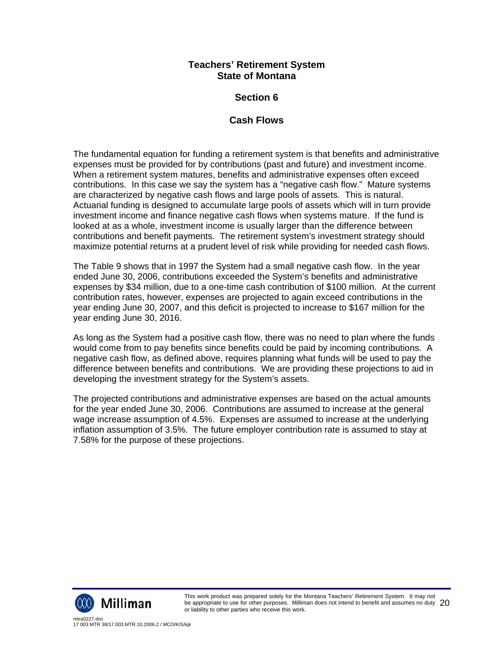# **Section 6**

# **Cash Flows**

The fundamental equation for funding a retirement system is that benefits and administrative expenses must be provided for by contributions (past and future) and investment income. When a retirement system matures, benefits and administrative expenses often exceed contributions. In this case we say the system has a "negative cash flow." Mature systems are characterized by negative cash flows and large pools of assets. This is natural. Actuarial funding is designed to accumulate large pools of assets which will in turn provide investment income and finance negative cash flows when systems mature. If the fund is looked at as a whole, investment income is usually larger than the difference between contributions and benefit payments. The retirement system's investment strategy should maximize potential returns at a prudent level of risk while providing for needed cash flows.

The Table 9 shows that in 1997 the System had a small negative cash flow. In the year ended June 30, 2006, contributions exceeded the System's benefits and administrative expenses by \$34 million, due to a one-time cash contribution of \$100 million. At the current contribution rates, however, expenses are projected to again exceed contributions in the year ending June 30, 2007, and this deficit is projected to increase to \$167 million for the year ending June 30, 2016.

As long as the System had a positive cash flow, there was no need to plan where the funds would come from to pay benefits since benefits could be paid by incoming contributions. A negative cash flow, as defined above, requires planning what funds will be used to pay the difference between benefits and contributions. We are providing these projections to aid in developing the investment strategy for the System's assets.

The projected contributions and administrative expenses are based on the actual amounts for the year ended June 30, 2006. Contributions are assumed to increase at the general wage increase assumption of 4.5%. Expenses are assumed to increase at the underlying inflation assumption of 3.5%. The future employer contribution rate is assumed to stay at 7.58% for the purpose of these projections.

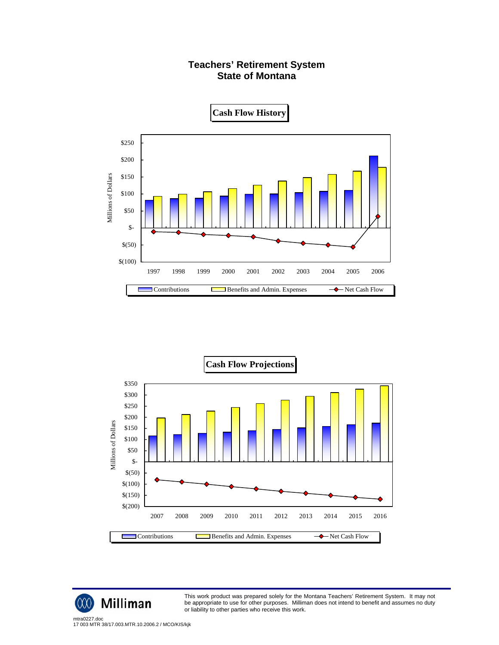





This work product was prepared solely for the Montana Teachers' Retirement System. It may not be appropriate to use for other purposes. Milliman does not intend to benefit and assumes no duty or liability to other parties who receive this work.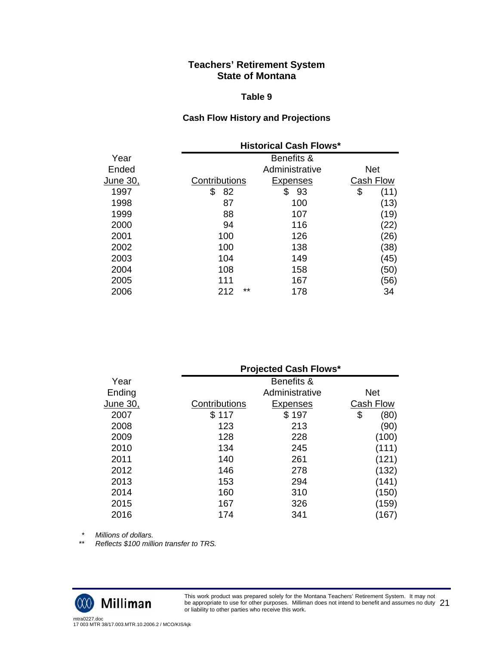#### **Table 9**

## **Cash Flow History and Projections**

|          |               | <b>Historical Cash Flows*</b> |            |  |
|----------|---------------|-------------------------------|------------|--|
| Year     |               | Benefits &                    |            |  |
| Ended    |               | Administrative                | <b>Net</b> |  |
| June 30, | Contributions | <b>Expenses</b>               | Cash Flow  |  |
| 1997     | \$<br>82      | 93<br>\$                      | \$<br>(11) |  |
| 1998     | 87            | 100                           | (13)       |  |
| 1999     | 88            | 107                           | (19)       |  |
| 2000     | 94            | 116                           | (22)       |  |
| 2001     | 100           | 126                           | (26)       |  |
| 2002     | 100           | 138                           | (38)       |  |
| 2003     | 104           | 149                           | (45)       |  |
| 2004     | 108           | 158                           | (50)       |  |
| 2005     | 111           | 167                           | (56)       |  |
| 2006     | **<br>212     | 178                           | 34         |  |

|          | <b>Projected Cash Flows*</b> |                 |    |            |
|----------|------------------------------|-----------------|----|------------|
| Year     |                              | Benefits &      |    |            |
| Ending   |                              | Administrative  |    | <b>Net</b> |
| June 30, | Contributions                | <b>Expenses</b> |    | Cash Flow  |
| 2007     | \$117                        | \$197           | \$ | (80)       |
| 2008     | 123                          | 213             |    | (90)       |
| 2009     | 128                          | 228             |    | (100)      |
| 2010     | 134                          | 245             |    | (111)      |
| 2011     | 140                          | 261             |    | (121)      |
| 2012     | 146                          | 278             |    | (132)      |
| 2013     | 153                          | 294             |    | (141)      |
| 2014     | 160                          | 310             |    | (150)      |
| 2015     | 167                          | 326             |    | (159)      |
| 2016     | 174                          | 341             |    | (167)      |

 *\* Millions of dollars.* 

 *\*\* Reflects \$100 million transfer to TRS.* 

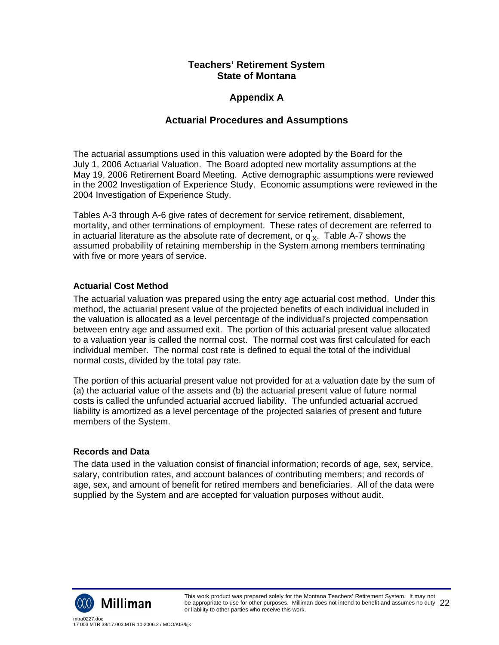# **Appendix A**

# **Actuarial Procedures and Assumptions**

The actuarial assumptions used in this valuation were adopted by the Board for the July 1, 2006 Actuarial Valuation. The Board adopted new mortality assumptions at the May 19, 2006 Retirement Board Meeting. Active demographic assumptions were reviewed in the 2002 Investigation of Experience Study. Economic assumptions were reviewed in the 2004 Investigation of Experience Study.

Tables A-3 through A-6 give rates of decrement for service retirement, disablement, mortality, and other terminations of employment. These rates of decrement are referred to in actuarial literature as the absolute rate of decrement, or  $q_{\mathbf{x}}^{'}$ . Table A-7 shows the assumed probability of retaining membership in the System among members terminating with five or more years of service.

## **Actuarial Cost Method**

The actuarial valuation was prepared using the entry age actuarial cost method. Under this method, the actuarial present value of the projected benefits of each individual included in the valuation is allocated as a level percentage of the individual's projected compensation between entry age and assumed exit. The portion of this actuarial present value allocated to a valuation year is called the normal cost. The normal cost was first calculated for each individual member. The normal cost rate is defined to equal the total of the individual normal costs, divided by the total pay rate.

The portion of this actuarial present value not provided for at a valuation date by the sum of (a) the actuarial value of the assets and (b) the actuarial present value of future normal costs is called the unfunded actuarial accrued liability. The unfunded actuarial accrued liability is amortized as a level percentage of the projected salaries of present and future members of the System.

## **Records and Data**

The data used in the valuation consist of financial information; records of age, sex, service, salary, contribution rates, and account balances of contributing members; and records of age, sex, and amount of benefit for retired members and beneficiaries. All of the data were supplied by the System and are accepted for valuation purposes without audit.

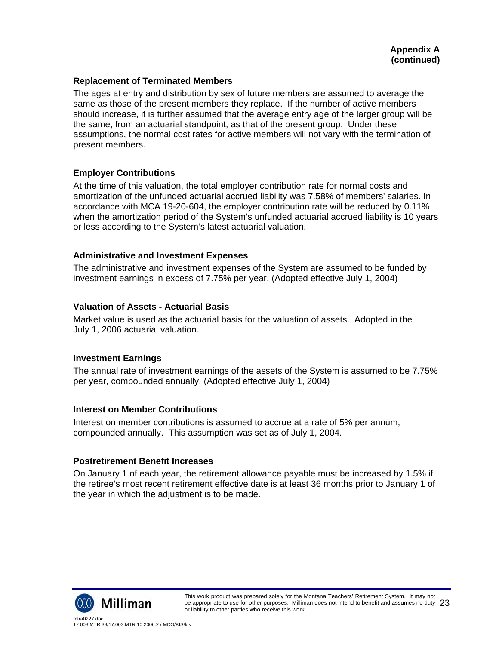### **Replacement of Terminated Members**

The ages at entry and distribution by sex of future members are assumed to average the same as those of the present members they replace. If the number of active members should increase, it is further assumed that the average entry age of the larger group will be the same, from an actuarial standpoint, as that of the present group. Under these assumptions, the normal cost rates for active members will not vary with the termination of present members.

### **Employer Contributions**

At the time of this valuation, the total employer contribution rate for normal costs and amortization of the unfunded actuarial accrued liability was 7.58% of members' salaries. In accordance with MCA 19-20-604, the employer contribution rate will be reduced by 0.11% when the amortization period of the System's unfunded actuarial accrued liability is 10 years or less according to the System's latest actuarial valuation.

### **Administrative and Investment Expenses**

The administrative and investment expenses of the System are assumed to be funded by investment earnings in excess of 7.75% per year. (Adopted effective July 1, 2004)

### **Valuation of Assets - Actuarial Basis**

Market value is used as the actuarial basis for the valuation of assets. Adopted in the July 1, 2006 actuarial valuation.

## **Investment Earnings**

The annual rate of investment earnings of the assets of the System is assumed to be 7.75% per year, compounded annually. (Adopted effective July 1, 2004)

#### **Interest on Member Contributions**

Interest on member contributions is assumed to accrue at a rate of 5% per annum, compounded annually. This assumption was set as of July 1, 2004.

## **Postretirement Benefit Increases**

On January 1 of each year, the retirement allowance payable must be increased by 1.5% if the retiree's most recent retirement effective date is at least 36 months prior to January 1 of the year in which the adjustment is to be made.

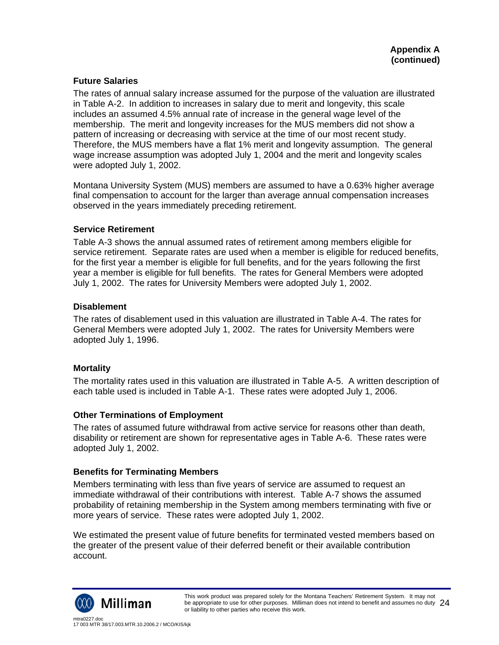## **Future Salaries**

The rates of annual salary increase assumed for the purpose of the valuation are illustrated in Table A-2. In addition to increases in salary due to merit and longevity, this scale includes an assumed 4.5% annual rate of increase in the general wage level of the membership. The merit and longevity increases for the MUS members did not show a pattern of increasing or decreasing with service at the time of our most recent study. Therefore, the MUS members have a flat 1% merit and longevity assumption. The general wage increase assumption was adopted July 1, 2004 and the merit and longevity scales were adopted July 1, 2002.

Montana University System (MUS) members are assumed to have a 0.63% higher average final compensation to account for the larger than average annual compensation increases observed in the years immediately preceding retirement.

## **Service Retirement**

Table A-3 shows the annual assumed rates of retirement among members eligible for service retirement. Separate rates are used when a member is eligible for reduced benefits, for the first year a member is eligible for full benefits, and for the years following the first year a member is eligible for full benefits. The rates for General Members were adopted July 1, 2002. The rates for University Members were adopted July 1, 2002.

## **Disablement**

The rates of disablement used in this valuation are illustrated in Table A-4. The rates for General Members were adopted July 1, 2002. The rates for University Members were adopted July 1, 1996.

## **Mortality**

The mortality rates used in this valuation are illustrated in Table A-5. A written description of each table used is included in Table A-1. These rates were adopted July 1, 2006.

## **Other Terminations of Employment**

The rates of assumed future withdrawal from active service for reasons other than death, disability or retirement are shown for representative ages in Table A-6. These rates were adopted July 1, 2002.

## **Benefits for Terminating Members**

Members terminating with less than five years of service are assumed to request an immediate withdrawal of their contributions with interest. Table A-7 shows the assumed probability of retaining membership in the System among members terminating with five or more years of service. These rates were adopted July 1, 2002.

We estimated the present value of future benefits for terminated vested members based on the greater of the present value of their deferred benefit or their available contribution account.

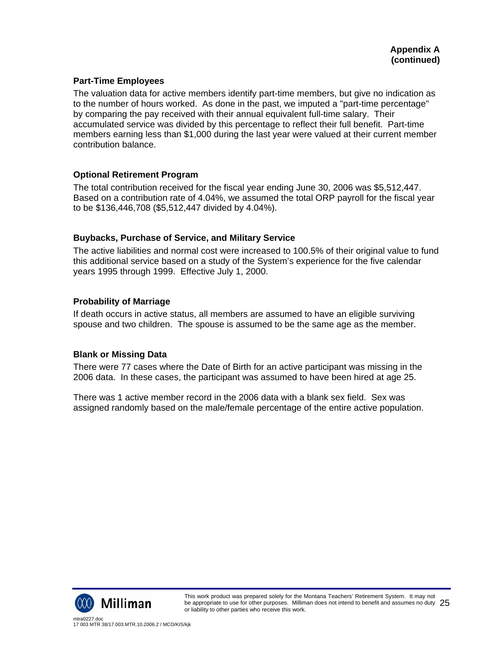## **Part-Time Employees**

The valuation data for active members identify part-time members, but give no indication as to the number of hours worked. As done in the past, we imputed a "part-time percentage" by comparing the pay received with their annual equivalent full-time salary. Their accumulated service was divided by this percentage to reflect their full benefit. Part-time members earning less than \$1,000 during the last year were valued at their current member contribution balance.

## **Optional Retirement Program**

The total contribution received for the fiscal year ending June 30, 2006 was \$5,512,447. Based on a contribution rate of 4.04%, we assumed the total ORP payroll for the fiscal year to be \$136,446,708 (\$5,512,447 divided by 4.04%).

## **Buybacks, Purchase of Service, and Military Service**

The active liabilities and normal cost were increased to 100.5% of their original value to fund this additional service based on a study of the System's experience for the five calendar years 1995 through 1999. Effective July 1, 2000.

## **Probability of Marriage**

If death occurs in active status, all members are assumed to have an eligible surviving spouse and two children. The spouse is assumed to be the same age as the member.

## **Blank or Missing Data**

There were 77 cases where the Date of Birth for an active participant was missing in the 2006 data. In these cases, the participant was assumed to have been hired at age 25.

There was 1 active member record in the 2006 data with a blank sex field. Sex was assigned randomly based on the male/female percentage of the entire active population.

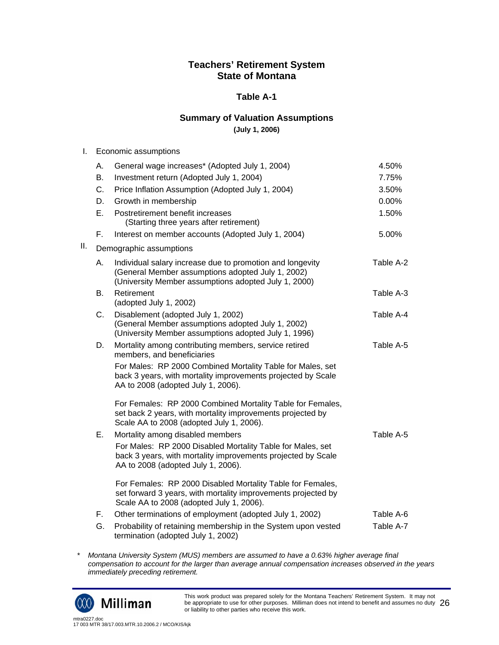## **Table A-1**

## **Summary of Valuation Assumptions**

**(July 1, 2006)** 

| I. | Economic assumptions |
|----|----------------------|
|----|----------------------|

|     | А. | General wage increases* (Adopted July 1, 2004)                                                                                                                          | 4.50%     |
|-----|----|-------------------------------------------------------------------------------------------------------------------------------------------------------------------------|-----------|
|     | В. | Investment return (Adopted July 1, 2004)                                                                                                                                | 7.75%     |
|     | C. | Price Inflation Assumption (Adopted July 1, 2004)                                                                                                                       | 3.50%     |
|     | D. | Growth in membership                                                                                                                                                    | 0.00%     |
|     | Ε. | Postretirement benefit increases<br>(Starting three years after retirement)                                                                                             | 1.50%     |
|     | F. | Interest on member accounts (Adopted July 1, 2004)                                                                                                                      | 5.00%     |
| ΙΙ. |    | Demographic assumptions                                                                                                                                                 |           |
|     | А. | Individual salary increase due to promotion and longevity<br>(General Member assumptions adopted July 1, 2002)<br>(University Member assumptions adopted July 1, 2000)  | Table A-2 |
|     | В. | Retirement<br>(adopted July 1, 2002)                                                                                                                                    | Table A-3 |
|     | С. | Disablement (adopted July 1, 2002)<br>(General Member assumptions adopted July 1, 2002)<br>(University Member assumptions adopted July 1, 1996)                         | Table A-4 |
|     | D. | Mortality among contributing members, service retired<br>members, and beneficiaries                                                                                     | Table A-5 |
|     |    | For Males: RP 2000 Combined Mortality Table for Males, set<br>back 3 years, with mortality improvements projected by Scale<br>AA to 2008 (adopted July 1, 2006).        |           |
|     |    | For Females: RP 2000 Combined Mortality Table for Females,<br>set back 2 years, with mortality improvements projected by<br>Scale AA to 2008 (adopted July 1, 2006).    |           |
|     | Ε. | Mortality among disabled members                                                                                                                                        | Table A-5 |
|     |    | For Males: RP 2000 Disabled Mortality Table for Males, set<br>back 3 years, with mortality improvements projected by Scale<br>AA to 2008 (adopted July 1, 2006).        |           |
|     |    | For Females: RP 2000 Disabled Mortality Table for Females,<br>set forward 3 years, with mortality improvements projected by<br>Scale AA to 2008 (adopted July 1, 2006). |           |
|     | F. | Other terminations of employment (adopted July 1, 2002)                                                                                                                 | Table A-6 |
|     | G. | Probability of retaining membership in the System upon vested<br>termination (adopted July 1, 2002)                                                                     | Table A-7 |

*\* Montana University System (MUS) members are assumed to have a 0.63% higher average final compensation to account for the larger than average annual compensation increases observed in the years immediately preceding retirement.* 



This work product was prepared solely for the Montana Teachers' Retirement System. It may not be appropriate to use for other purposes. Milliman does not intend to benefit and assumes no duty be appropriate to use for other purposes. Milliman does not intend to benefit and assumes no duty  $\,26\,$ <br>or liability to other parties who receive this work.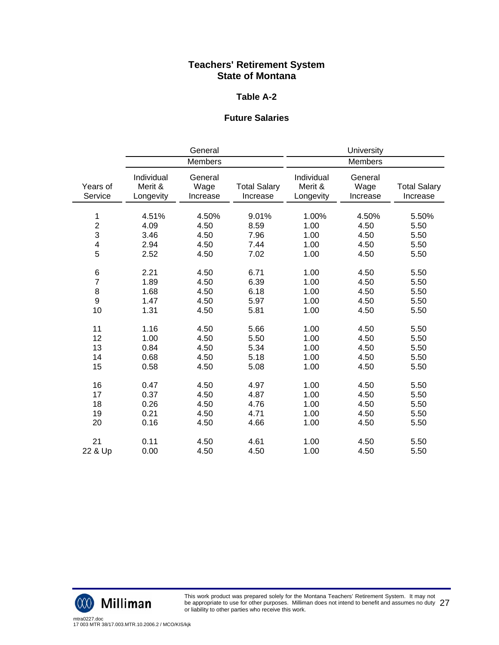### **Table A-2**

## **Future Salaries**

|                                    |                                    | General                       |                                 |                                    | University                    |                                 |
|------------------------------------|------------------------------------|-------------------------------|---------------------------------|------------------------------------|-------------------------------|---------------------------------|
|                                    | Members                            |                               | Members                         |                                    |                               |                                 |
| Years of<br>Service                | Individual<br>Merit &<br>Longevity | General<br>Wage<br>Increase   | <b>Total Salary</b><br>Increase | Individual<br>Merit &<br>Longevity | General<br>Wage<br>Increase   | <b>Total Salary</b><br>Increase |
| 1<br>$\overline{c}$<br>3<br>4<br>5 | 4.51%<br>4.09<br>3.46<br>2.94      | 4.50%<br>4.50<br>4.50<br>4.50 | 9.01%<br>8.59<br>7.96<br>7.44   | 1.00%<br>1.00<br>1.00<br>1.00      | 4.50%<br>4.50<br>4.50<br>4.50 | 5.50%<br>5.50<br>5.50<br>5.50   |
| 6                                  | 2.52                               | 4.50                          | 7.02                            | 1.00                               | 4.50                          | 5.50                            |
| $\overline{7}$                     | 2.21                               | 4.50                          | 6.71                            | 1.00                               | 4.50                          | 5.50                            |
| 8<br>9<br>10                       | 1.89<br>1.68<br>1.47<br>1.31       | 4.50<br>4.50<br>4.50<br>4.50  | 6.39<br>6.18<br>5.97<br>5.81    | 1.00<br>1.00<br>1.00<br>1.00       | 4.50<br>4.50<br>4.50<br>4.50  | 5.50<br>5.50<br>5.50<br>5.50    |
| 11                                 | 1.16                               | 4.50                          | 5.66                            | 1.00                               | 4.50                          | 5.50                            |
| 12                                 | 1.00                               | 4.50                          | 5.50                            | 1.00                               | 4.50                          | 5.50                            |
| 13                                 | 0.84                               | 4.50                          | 5.34                            | 1.00                               | 4.50                          | 5.50                            |
| 14                                 | 0.68                               | 4.50                          | 5.18                            | 1.00                               | 4.50                          | 5.50                            |
| 15                                 | 0.58                               | 4.50                          | 5.08                            | 1.00                               | 4.50                          | 5.50                            |
| 16                                 | 0.47                               | 4.50                          | 4.97                            | 1.00                               | 4.50                          | 5.50                            |
| 17                                 | 0.37                               | 4.50                          | 4.87                            | 1.00                               | 4.50                          | 5.50                            |
| 18                                 | 0.26                               | 4.50                          | 4.76                            | 1.00                               | 4.50                          | 5.50                            |
| 19                                 | 0.21                               | 4.50                          | 4.71                            | 1.00                               | 4.50                          | 5.50                            |
| 20                                 | 0.16                               | 4.50                          | 4.66                            | 1.00                               | 4.50                          | 5.50                            |
| 21                                 | 0.11                               | 4.50                          | 4.61                            | 1.00                               | 4.50                          | 5.50                            |
| 22 & Up                            | 0.00                               | 4.50                          | 4.50                            | 1.00                               | 4.50                          | 5.50                            |



This work product was prepared solely for the Montana Teachers' Retirement System. It may not be appropriate to use for other purposes. Milliman does not intend to benefit and assumes no duty be appropriate to use for other purposes. Milliman does not intend to benefit and assumes no duty  $\ 27$ <br>or liability to other parties who receive this work.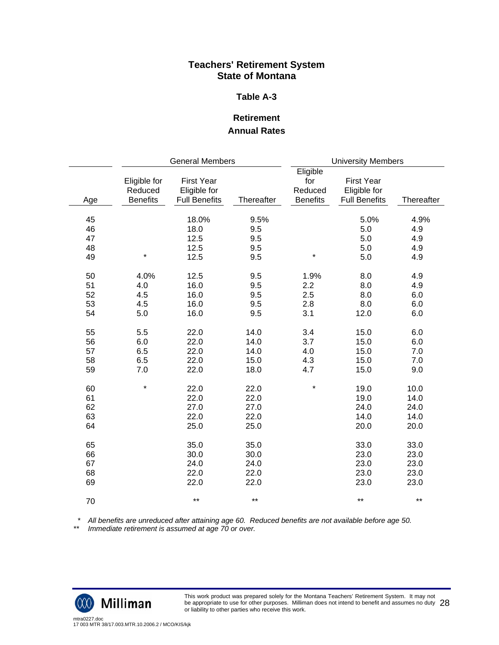### **Table A-3**

## **Retirement Annual Rates**

|                            | <b>General Members</b>                     |                                                           |                                      | <b>University Members</b>                     |                                                           |                                      |
|----------------------------|--------------------------------------------|-----------------------------------------------------------|--------------------------------------|-----------------------------------------------|-----------------------------------------------------------|--------------------------------------|
| Age                        | Eligible for<br>Reduced<br><b>Benefits</b> | <b>First Year</b><br>Eligible for<br><b>Full Benefits</b> | Thereafter                           | Eligible<br>for<br>Reduced<br><b>Benefits</b> | <b>First Year</b><br>Eligible for<br><b>Full Benefits</b> | Thereafter                           |
| 45<br>46<br>47<br>48<br>49 | $\star$                                    | 18.0%<br>18.0<br>12.5<br>12.5<br>12.5                     | 9.5%<br>9.5<br>9.5<br>9.5<br>9.5     | $\star$                                       | 5.0%<br>5.0<br>5.0<br>5.0<br>5.0                          | 4.9%<br>4.9<br>4.9<br>4.9<br>4.9     |
| 50<br>51<br>52<br>53<br>54 | 4.0%<br>4.0<br>4.5<br>4.5<br>5.0           | 12.5<br>16.0<br>16.0<br>16.0<br>16.0                      | 9.5<br>9.5<br>9.5<br>9.5<br>9.5      | 1.9%<br>2.2<br>2.5<br>2.8<br>3.1              | 8.0<br>8.0<br>8.0<br>8.0<br>12.0                          | 4.9<br>4.9<br>6.0<br>6.0<br>6.0      |
| 55<br>56<br>57<br>58<br>59 | 5.5<br>6.0<br>6.5<br>6.5<br>7.0            | 22.0<br>22.0<br>22.0<br>22.0<br>22.0                      | 14.0<br>14.0<br>14.0<br>15.0<br>18.0 | 3.4<br>3.7<br>4.0<br>4.3<br>4.7               | 15.0<br>15.0<br>15.0<br>15.0<br>15.0                      | 6.0<br>6.0<br>7.0<br>7.0<br>9.0      |
| 60<br>61<br>62<br>63<br>64 | $\star$                                    | 22.0<br>22.0<br>27.0<br>22.0<br>25.0                      | 22.0<br>22.0<br>27.0<br>22.0<br>25.0 | $\star$                                       | 19.0<br>19.0<br>24.0<br>14.0<br>20.0                      | 10.0<br>14.0<br>24.0<br>14.0<br>20.0 |
| 65<br>66<br>67<br>68<br>69 |                                            | 35.0<br>30.0<br>24.0<br>22.0<br>22.0                      | 35.0<br>30.0<br>24.0<br>22.0<br>22.0 |                                               | 33.0<br>23.0<br>23.0<br>23.0<br>23.0                      | 33.0<br>23.0<br>23.0<br>23.0<br>23.0 |
| 70                         |                                            | $***$                                                     | $***$                                |                                               | $***$                                                     | $***$                                |

 *\* All benefits are unreduced after attaining age 60. Reduced benefits are not available before age 50.* 

*\*\* Immediate retirement is assumed at age 70 or over.* 

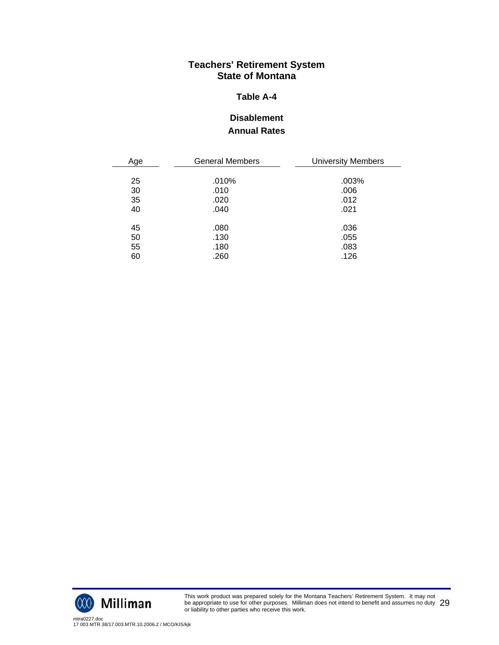### **Table A-4**

# **Disablement Annual Rates**

| Age | <b>General Members</b> | <b>University Members</b> |
|-----|------------------------|---------------------------|
|     |                        |                           |
| 25  | .010%                  | .003%                     |
| 30  | .010                   | .006                      |
| 35  | .020                   | .012                      |
| 40  | .040                   | .021                      |
|     |                        |                           |
| 45  | .080                   | .036                      |
| 50  | .130                   | .055                      |
| 55  | .180                   | .083                      |
| 60  | .260                   | .126                      |



This work product was prepared solely for the Montana Teachers' Retirement System. It may not be appropriate to use for other purposes. Milliman does not intend to benefit and assumes no duty be appropriate to use for other purposes. Milliman does not intend to benefit and assumes no duty  $\ 29$ <br>or liability to other parties who receive this work.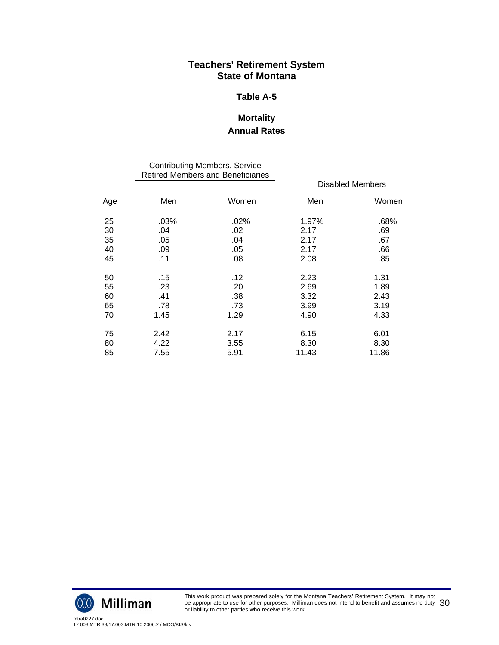### **Table A-5**

# **Mortality Annual Rates**

#### Contributing Members, Service Retired Members and Beneficiaries

|     | INGUIGU MIGHIDEIS ANU DENGICIANES |       |                  |       |  |
|-----|-----------------------------------|-------|------------------|-------|--|
|     |                                   |       | Disabled Members |       |  |
| Age | Men                               | Women | Men              | Women |  |
| 25  | .03%                              | .02%  | 1.97%            | .68%  |  |
| 30  | .04                               | .02   | 2.17             | .69   |  |
| 35  | .05                               | .04   | 2.17             | .67   |  |
| 40  | .09                               | .05   | 2.17             | .66   |  |
| 45  | .11                               | .08   | 2.08             | .85   |  |
| 50  | .15                               | .12   | 2.23             | 1.31  |  |
| 55  | .23                               | .20   | 2.69             | 1.89  |  |
| 60  | .41                               | .38   | 3.32             | 2.43  |  |
| 65  | .78                               | .73   | 3.99             | 3.19  |  |
| 70  | 1.45                              | 1.29  | 4.90             | 4.33  |  |
| 75  | 2.42                              | 2.17  | 6.15             | 6.01  |  |
| 80  | 4.22                              | 3.55  | 8.30             | 8.30  |  |
| 85  | 7.55                              | 5.91  | 11.43            | 11.86 |  |
|     |                                   |       |                  |       |  |

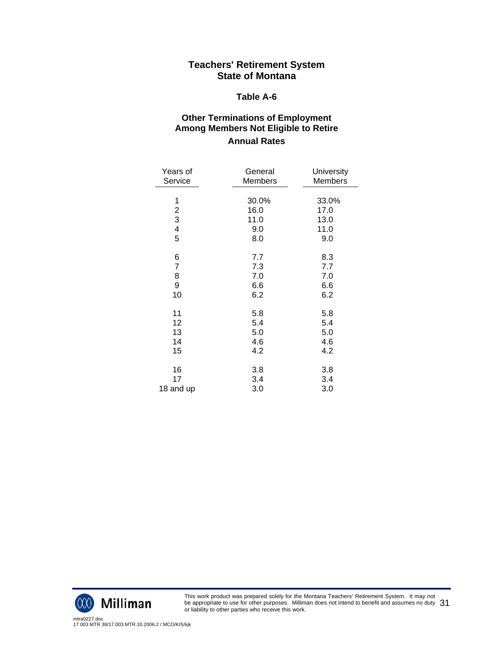#### **Table A-6**

## **Other Terminations of Employment Among Members Not Eligible to Retire Annual Rates**

| Years of                | General | University     |
|-------------------------|---------|----------------|
| Service                 | Members | <b>Members</b> |
| 1                       | 30.0%   | 33.0%          |
| $\overline{\mathbf{c}}$ | 16.0    | 17.0           |
| 3                       | 11.0    | 13.0           |
| 4                       | 9.0     | 11.0           |
| 5                       | 8.0     | 9.0            |
| 6                       | 7.7     | 8.3            |
| $\overline{7}$          | 7.3     | 7.7            |
| 8                       | 7.0     | 7.0            |
| 9                       | 6.6     | 6.6            |
| 10                      | 6.2     | 6.2            |
| 11                      | 5.8     | 5.8            |
| 12                      | 5.4     | 5.4            |
| 13                      | 5.0     | 5.0            |
| 14                      | 4.6     | 4.6            |
| 15                      | 4.2     | 4.2            |
| 16                      | 3.8     | 3.8            |
| 17                      | 3.4     | 3.4            |
| 18 and up               | 3.0     | 3.0            |



This work product was prepared solely for the Montana Teachers' Retirement System. It may not be appropriate to use for other purposes. Milliman does not intend to benefit and assumes no duty be appropriate to use for other purposes. Milliman does not intend to benefit and assumes no duty  $\,31$ <br>or liability to other parties who receive this work.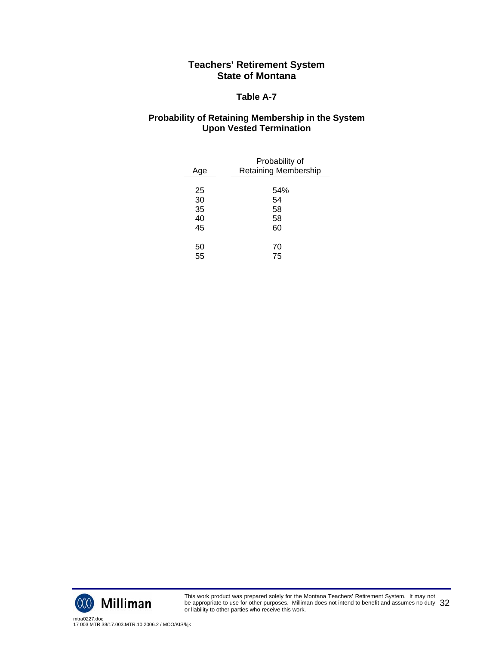### **Table A-7**

## **Probability of Retaining Membership in the System Upon Vested Termination**

| Age | Probability of<br><b>Retaining Membership</b> |
|-----|-----------------------------------------------|
|     |                                               |
| 25  | 54%                                           |
| 30  | 54                                            |
| 35  | 58                                            |
| 40  | 58                                            |
| 45  | 60                                            |
|     |                                               |
| 50  | 70                                            |
| 55  | 75                                            |



This work product was prepared solely for the Montana Teachers' Retirement System. It may not be appropriate to use for other purposes. Milliman does not intend to benefit and assumes no duty be appropriate to use for other purposes. Milliman does not intend to benefit and assumes no duty  $\,32$ <br>or liability to other parties who receive this work.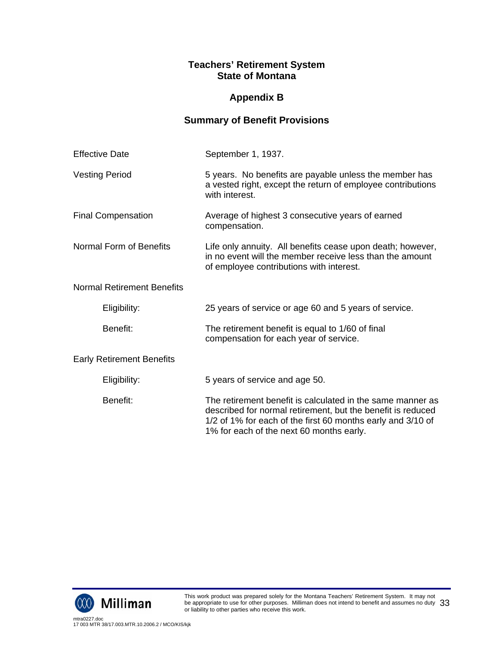# **Appendix B**

# **Summary of Benefit Provisions**

| <b>Effective Date</b>             | September 1, 1937.                                                                                                                                                                                                                   |
|-----------------------------------|--------------------------------------------------------------------------------------------------------------------------------------------------------------------------------------------------------------------------------------|
| <b>Vesting Period</b>             | 5 years. No benefits are payable unless the member has<br>a vested right, except the return of employee contributions<br>with interest.                                                                                              |
| <b>Final Compensation</b>         | Average of highest 3 consecutive years of earned<br>compensation.                                                                                                                                                                    |
| Normal Form of Benefits           | Life only annuity. All benefits cease upon death; however,<br>in no event will the member receive less than the amount<br>of employee contributions with interest.                                                                   |
| <b>Normal Retirement Benefits</b> |                                                                                                                                                                                                                                      |
| Eligibility:                      | 25 years of service or age 60 and 5 years of service.                                                                                                                                                                                |
| Benefit:                          | The retirement benefit is equal to 1/60 of final<br>compensation for each year of service.                                                                                                                                           |
| <b>Early Retirement Benefits</b>  |                                                                                                                                                                                                                                      |
| Eligibility:                      | 5 years of service and age 50.                                                                                                                                                                                                       |
| Benefit:                          | The retirement benefit is calculated in the same manner as<br>described for normal retirement, but the benefit is reduced<br>1/2 of 1% for each of the first 60 months early and 3/10 of<br>1% for each of the next 60 months early. |

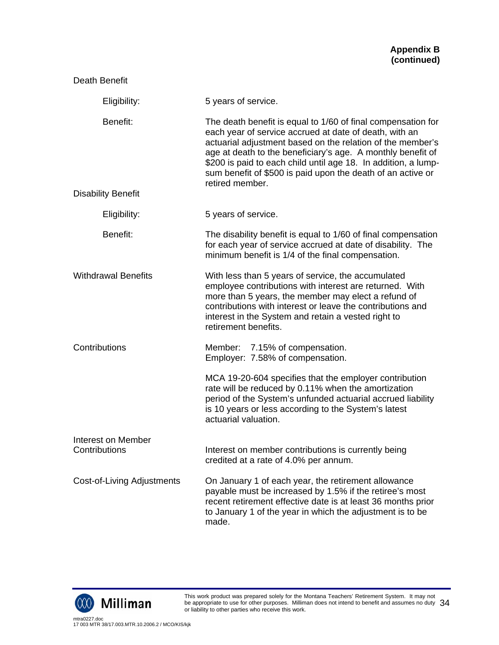| Death Benefit                       |                                                                                                                                                                                                                                                                                                                                                                                                         |
|-------------------------------------|---------------------------------------------------------------------------------------------------------------------------------------------------------------------------------------------------------------------------------------------------------------------------------------------------------------------------------------------------------------------------------------------------------|
| Eligibility:                        | 5 years of service.                                                                                                                                                                                                                                                                                                                                                                                     |
| Benefit:                            | The death benefit is equal to 1/60 of final compensation for<br>each year of service accrued at date of death, with an<br>actuarial adjustment based on the relation of the member's<br>age at death to the beneficiary's age. A monthly benefit of<br>\$200 is paid to each child until age 18. In addition, a lump-<br>sum benefit of \$500 is paid upon the death of an active or<br>retired member. |
| <b>Disability Benefit</b>           |                                                                                                                                                                                                                                                                                                                                                                                                         |
| Eligibility:                        | 5 years of service.                                                                                                                                                                                                                                                                                                                                                                                     |
| Benefit:                            | The disability benefit is equal to 1/60 of final compensation<br>for each year of service accrued at date of disability. The<br>minimum benefit is 1/4 of the final compensation.                                                                                                                                                                                                                       |
| <b>Withdrawal Benefits</b>          | With less than 5 years of service, the accumulated<br>employee contributions with interest are returned. With<br>more than 5 years, the member may elect a refund of<br>contributions with interest or leave the contributions and<br>interest in the System and retain a vested right to<br>retirement benefits.                                                                                       |
| Contributions                       | Member: 7.15% of compensation.<br>Employer: 7.58% of compensation.                                                                                                                                                                                                                                                                                                                                      |
|                                     | MCA 19-20-604 specifies that the employer contribution<br>rate will be reduced by 0.11% when the amortization<br>period of the System's unfunded actuarial accrued liability<br>is 10 years or less according to the System's latest<br>actuarial valuation.                                                                                                                                            |
| Interest on Member<br>Contributions | Interest on member contributions is currently being<br>credited at a rate of 4.0% per annum.                                                                                                                                                                                                                                                                                                            |
| Cost-of-Living Adjustments          | On January 1 of each year, the retirement allowance<br>payable must be increased by 1.5% if the retiree's most<br>recent retirement effective date is at least 36 months prior<br>to January 1 of the year in which the adjustment is to be<br>made.                                                                                                                                                    |



This work product was prepared solely for the Montana Teachers' Retirement System. It may not be appropriate to use for other purposes. Milliman does not intend to benefit and assumes no duty be appropriate to use for other purposes. Milliman does not intend to benefit and assumes no duty  $\,34$ <br>or liability to other parties who receive this work.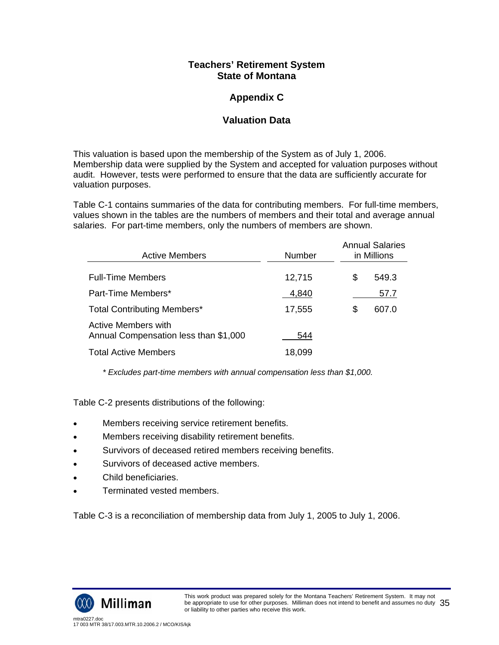# **Appendix C**

# **Valuation Data**

This valuation is based upon the membership of the System as of July 1, 2006. Membership data were supplied by the System and accepted for valuation purposes without audit. However, tests were performed to ensure that the data are sufficiently accurate for valuation purposes.

Table C-1 contains summaries of the data for contributing members. For full-time members, values shown in the tables are the numbers of members and their total and average annual salaries. For part-time members, only the numbers of members are shown.

| <b>Active Members</b>                                        | Number | <b>Annual Salaries</b><br>in Millions |
|--------------------------------------------------------------|--------|---------------------------------------|
| <b>Full-Time Members</b>                                     | 12,715 | \$<br>549.3                           |
| Part-Time Members*                                           | 4,840  | 57.7                                  |
| <b>Total Contributing Members*</b>                           | 17,555 | \$<br>607.0                           |
| Active Members with<br>Annual Compensation less than \$1,000 | 544    |                                       |
| <b>Total Active Members</b>                                  | 18,099 |                                       |

*\* Excludes part-time members with annual compensation less than \$1,000.* 

Table C-2 presents distributions of the following:

- Members receiving service retirement benefits.
- Members receiving disability retirement benefits.
- Survivors of deceased retired members receiving benefits.
- Survivors of deceased active members.
- Child beneficiaries.
- Terminated vested members.

Table C-3 is a reconciliation of membership data from July 1, 2005 to July 1, 2006.

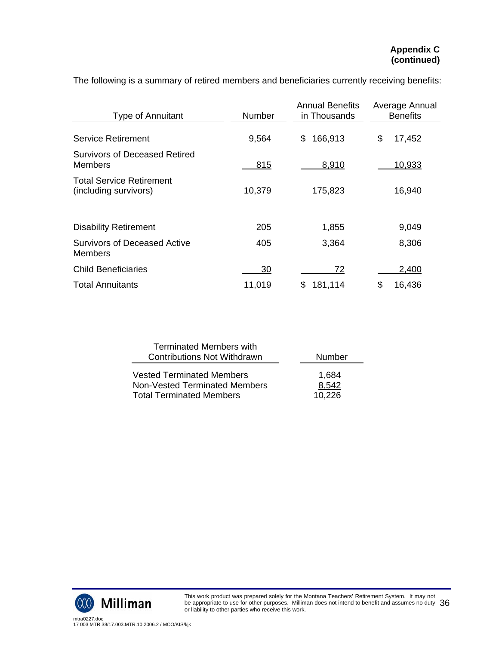| <b>Type of Annuitant</b>                                 | Number | <b>Annual Benefits</b><br>in Thousands | Average Annual<br><b>Benefits</b> |
|----------------------------------------------------------|--------|----------------------------------------|-----------------------------------|
| <b>Service Retirement</b>                                | 9,564  | 166,913<br>S                           | \$<br>17,452                      |
| <b>Survivors of Deceased Retired</b><br>Members          | 815    | 8,910                                  | 10,933                            |
| <b>Total Service Retirement</b><br>(including survivors) | 10,379 | 175,823                                | 16,940                            |
| <b>Disability Retirement</b>                             | 205    | 1,855                                  | 9,049                             |
| <b>Survivors of Deceased Active</b><br>Members           | 405    | 3,364                                  | 8,306                             |
| <b>Child Beneficiaries</b>                               | 30     | 72                                     | 2,400                             |
| <b>Total Annuitants</b>                                  | 11,019 | 181,114<br>S                           | \$<br>16,436                      |

The following is a summary of retired members and beneficiaries currently receiving benefits:

| <b>Terminated Members with</b>     |        |
|------------------------------------|--------|
| <b>Contributions Not Withdrawn</b> | Number |
| <b>Vested Terminated Members</b>   | 1,684  |
| Non-Vested Terminated Members      | 8,542  |
| <b>Total Terminated Members</b>    | 10.226 |

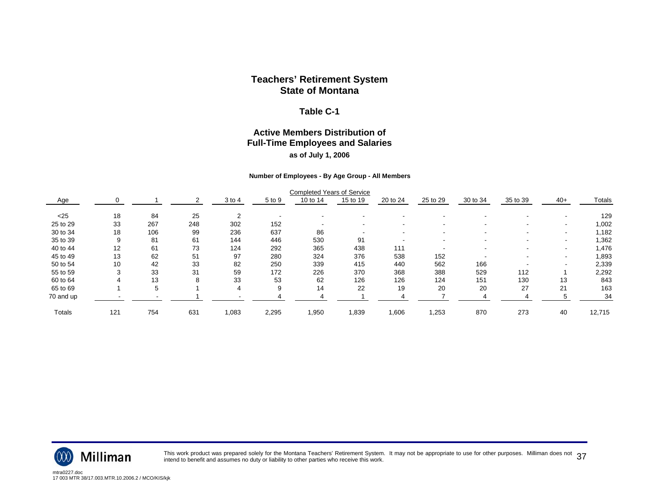#### **Table C-1**

## **Active Members Distribution of Full-Time Employees and Salaries as of July 1, 2006**

#### **Number of Employees - By Age Group - All Members**

|               |     |     |     |            |        | <b>Completed Years of Service</b> |          |          |                          |          |          |                          |        |
|---------------|-----|-----|-----|------------|--------|-----------------------------------|----------|----------|--------------------------|----------|----------|--------------------------|--------|
| Age           | 0   |     |     | $3$ to $4$ | 5 to 9 | 10 to 14                          | 15 to 19 | 20 to 24 | 25 to 29                 | 30 to 34 | 35 to 39 | $40+$                    | Totals |
| $<$ 25        | 18  | 84  | 25  |            |        |                                   |          |          |                          |          |          |                          | 129    |
| 25 to 29      | 33  | 267 | 248 | 302        | 152    | $\overline{\phantom{0}}$          |          |          | $\overline{\phantom{a}}$ |          |          | $\overline{\phantom{a}}$ | 1,002  |
| 30 to 34      | 18  | 106 | 99  | 236        | 637    | 86                                |          |          | $\overline{\phantom{a}}$ |          |          |                          | 1,182  |
| 35 to 39      | 9   | 81  | 61  | 144        | 446    | 530                               | 91       |          | $\overline{\phantom{a}}$ |          |          |                          | 1,362  |
| 40 to 44      | 12  | 61  | 73  | 124        | 292    | 365                               | 438      | 111      | $\overline{\phantom{a}}$ |          |          | $\overline{\phantom{a}}$ | 1,476  |
| 45 to 49      | 13  | 62  | 51  | 97         | 280    | 324                               | 376      | 538      | 152                      |          |          |                          | 1,893  |
| 50 to 54      | 10  | 42  | 33  | 82         | 250    | 339                               | 415      | 440      | 562                      | 166      |          |                          | 2,339  |
| 55 to 59      |     | 33  | 31  | 59         | 172    | 226                               | 370      | 368      | 388                      | 529      | 112      |                          | 2,292  |
| 60 to 64      |     | 13  |     | 33         | 53     | 62                                | 126      | 126      | 124                      | 151      | 130      | 13                       | 843    |
| 65 to 69      |     | 5   |     | 4          | 9      | 14                                | 22       | 19       | 20                       | 20       | 27       | 21                       | 163    |
| 70 and up     |     |     |     |            |        |                                   |          |          |                          |          |          | 5                        | 34     |
| <b>Totals</b> | 121 | 754 | 631 | 1,083      | 2,295  | 1,950                             | 1,839    | 1,606    | 1,253                    | 870      | 273      | 40                       | 12,715 |



This work product was prepared solely for the Montana Teachers' Retirement System. It may not be appropriate to use for other purposes. Milliman does not  $\,37$ <br>intend to benefit and assumes no duty or liability to other p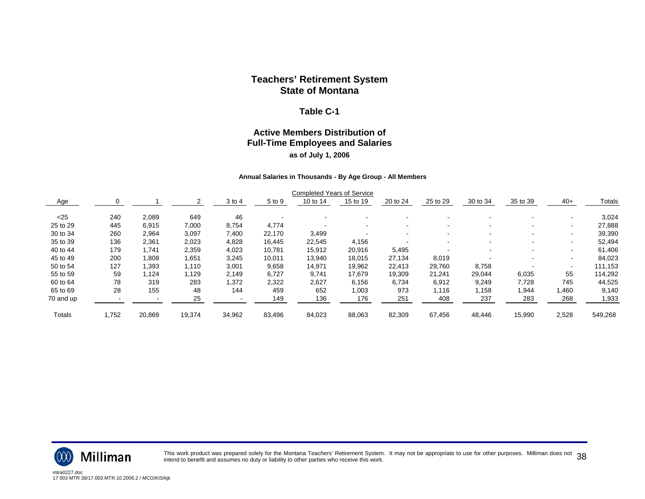#### **Table C-1**

## **Active Members Distribution of Full-Time Employees and Salaries as of July 1, 2006**

#### **Annual Salaries in Thousands - By Age Group - All Members**

|           |       |        |        |            |        | <b>Completed Years of Service</b> |          |          |          |          |                          |       |         |
|-----------|-------|--------|--------|------------|--------|-----------------------------------|----------|----------|----------|----------|--------------------------|-------|---------|
| Age       |       |        |        | $3$ to $4$ | 5 to 9 | 10 to 14                          | 15 to 19 | 20 to 24 | 25 to 29 | 30 to 34 | 35 to 39                 | $40+$ | Totals  |
| < 25      | 240   | 2,089  | 649    | 46         |        |                                   |          |          |          |          |                          |       | 3,024   |
| 25 to 29  | 445   | 6,915  | 7,000  | 8,754      | 4.774  |                                   |          |          |          |          | $\overline{\phantom{a}}$ |       | 27,888  |
| 30 to 34  | 260   | 2,964  | 3,097  | 7,400      | 22,170 | 3,499                             |          |          |          |          | $\sim$                   |       | 39,390  |
| 35 to 39  | 136   | 2,361  | 2,023  | 4,828      | 16.445 | 22,545                            | 4,156    |          |          |          |                          |       | 52,494  |
| 40 to 44  | 179   | 1,741  | 2,359  | 4,023      | 10,781 | 15,912                            | 20,916   | 5,495    |          |          |                          |       | 61,406  |
| 45 to 49  | 200   | 1,808  | 1,651  | 3,245      | 10,011 | 13,940                            | 18,015   | 27,134   | 8,019    |          |                          |       | 84,023  |
| 50 to 54  | 127   | 1,393  | 1,110  | 3,001      | 9,658  | 14,971                            | 19,962   | 22,413   | 29,760   | 8,758    |                          |       | 111,153 |
| 55 to 59  | 59    | 1,124  | 1,129  | 2,149      | 6,727  | 9,741                             | 17,679   | 19,309   | 21,241   | 29,044   | 6,035                    | 55    | 114,292 |
| 60 to 64  | 78    | 319    | 283    | 1,372      | 2,322  | 2,627                             | 6,156    | 6,734    | 6,912    | 9,249    | 7,728                    | 745   | 44,525  |
| 65 to 69  | 28    | 155    | 48     | 144        | 459    | 652                               | 1,003    | 973      | 1,116    | 1,158    | 1,944                    | 1,460 | 9,140   |
| 70 and up |       |        | 25     |            | 149    | 136                               | 176      | 251      | 408      | 237      | 283                      | 268   | 1,933   |
| Totals    | 1,752 | 20,869 | 19,374 | 34,962     | 83,496 | 84,023                            | 88,063   | 82,309   | 67,456   | 48,446   | 15,990                   | 2,528 | 549,268 |



This work product was prepared solely for the Montana Teachers' Retirement System. It may not be appropriate to use for other purposes. Milliman does not  $\,38$ <br>intend to benefit and assumes no duty or liability to other p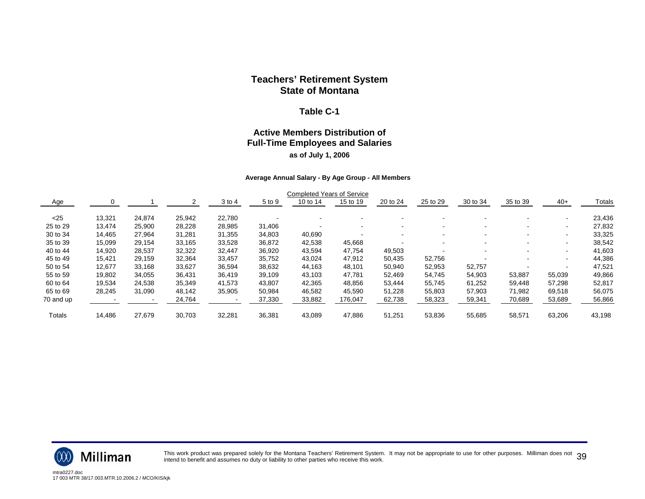#### **Table C-1**

## **Active Members Distribution of Full-Time Employees and Salaries as of July 1, 2006**

#### **Average Annual Salary - By Age Group - All Members**

|           |        |        |        |        |        | <b>Completed Years of Service</b> |          |          |          |          |                          |                          |        |
|-----------|--------|--------|--------|--------|--------|-----------------------------------|----------|----------|----------|----------|--------------------------|--------------------------|--------|
| Age       |        |        |        | 3 to 4 | 5 to 9 | 10 to 14                          | 15 to 19 | 20 to 24 | 25 to 29 | 30 to 34 | 35 to 39                 | $40+$                    | Totals |
| $<$ 25    | 13,321 | 24,874 | 25,942 | 22.780 |        |                                   |          |          |          |          |                          |                          | 23,436 |
| 25 to 29  | 13,474 | 25,900 | 28,228 | 28,985 | 31,406 | -                                 |          |          |          |          | $\overline{\phantom{a}}$ | $\overline{\phantom{a}}$ | 27,832 |
| 30 to 34  | 14,465 | 27,964 | 31,281 | 31,355 | 34,803 | 40,690                            |          |          |          |          |                          | $\overline{\phantom{a}}$ | 33,325 |
| 35 to 39  | 15,099 | 29,154 | 33,165 | 33,528 | 36,872 | 42,538                            | 45,668   |          |          |          |                          |                          | 38,542 |
| 40 to 44  | 14,920 | 28,537 | 32,322 | 32,447 | 36,920 | 43,594                            | 47.754   | 49,503   |          |          |                          | $\overline{\phantom{a}}$ | 41,603 |
| 45 to 49  | 15,421 | 29,159 | 32,364 | 33,457 | 35,752 | 43,024                            | 47,912   | 50,435   | 52,756   |          |                          | $\overline{\phantom{a}}$ | 44,386 |
| 50 to 54  | 12,677 | 33,168 | 33,627 | 36,594 | 38,632 | 44,163                            | 48,101   | 50,940   | 52,953   | 52,757   |                          |                          | 47,521 |
| 55 to 59  | 19,802 | 34,055 | 36,431 | 36,419 | 39,109 | 43,103                            | 47.781   | 52,469   | 54,745   | 54,903   | 53,887                   | 55,039                   | 49,866 |
| 60 to 64  | 19,534 | 24,538 | 35,349 | 41,573 | 43,807 | 42,365                            | 48,856   | 53,444   | 55,745   | 61,252   | 59,448                   | 57,298                   | 52,817 |
| 65 to 69  | 28,245 | 31,090 | 48.142 | 35,905 | 50,984 | 46,582                            | 45.590   | 51.228   | 55,803   | 57,903   | 71,982                   | 69,518                   | 56,075 |
| 70 and up |        |        | 24,764 |        | 37,330 | 33,882                            | 176,047  | 62,738   | 58,323   | 59,341   | 70,689                   | 53,689                   | 56,866 |
| Totals    | 14,486 | 27,679 | 30,703 | 32,281 | 36,381 | 43,089                            | 47,886   | 51,251   | 53,836   | 55,685   | 58,571                   | 63,206                   | 43,198 |



This work product was prepared solely for the Montana Teachers' Retirement System. It may not be appropriate to use for other purposes. Milliman does not  $~39$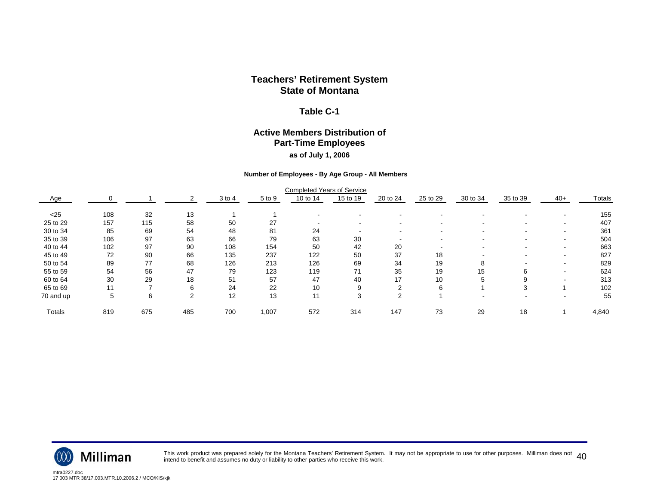#### **Table C-1**

#### **Active Members Distribution of Part-Time Employees as of July 1, 2006**

#### **Number of Employees - By Age Group - All Members**

|               |     |     |     |        |        | <b>Completed Years of Service</b> |          |                          |                          |          |          |                          |               |
|---------------|-----|-----|-----|--------|--------|-----------------------------------|----------|--------------------------|--------------------------|----------|----------|--------------------------|---------------|
| Age           |     |     |     | 3 to 4 | 5 to 9 | 10 to 14                          | 15 to 19 | 20 to 24                 | 25 to 29                 | 30 to 34 | 35 to 39 | $40+$                    | <b>Totals</b> |
| < 25          | 108 | 32  | 13  |        |        |                                   |          |                          |                          |          |          |                          | 155           |
| 25 to 29      | 157 | 115 | 58  | 50     | 27     | $\overline{\phantom{a}}$          |          | $\overline{\phantom{0}}$ | $\overline{\phantom{0}}$ | $\sim$   | $\sim$   | $\overline{\phantom{a}}$ | 407           |
| 30 to 34      | 85  | 69  | 54  | 48     | 81     | 24                                |          |                          |                          |          |          | $\overline{\phantom{0}}$ | 361           |
| 35 to 39      | 106 | 97  | 63  | 66     | 79     | 63                                | 30       |                          |                          |          |          |                          | 504           |
| 40 to 44      | 102 | 97  | 90  | 108    | 154    | 50                                | 42       | 20                       |                          |          |          |                          | 663           |
| 45 to 49      | 72  | 90  | 66  | 135    | 237    | 122                               | 50       | 37                       | 18                       |          |          |                          | 827           |
| 50 to 54      | 89  | 77  | 68  | 126    | 213    | 126                               | 69       | 34                       | 19                       | 8        |          |                          | 829           |
| 55 to 59      | 54  | 56  | 47  | 79     | 123    | 119                               | 71       | 35                       | 19                       | 15       | ิค       |                          | 624           |
| 60 to 64      | 30  | 29  | 18  | 51     | 57     | 47                                | 40       | 17                       | 10                       |          |          |                          | 313           |
| 65 to 69      | 11  |     | 6   | 24     | 22     | 10                                |          |                          | 6                        |          |          |                          | 102           |
| 70 and up     |     |     |     | 12     | 13     | 11                                |          |                          |                          |          |          |                          | 55            |
| <b>Totals</b> | 819 | 675 | 485 | 700    | 1,007  | 572                               | 314      | 147                      | 73                       | 29       | 18       |                          | 4,840         |



This work product was prepared solely for the Montana Teachers' Retirement System. It may not be appropriate to use for other purposes. Milliman does not  $\ 40$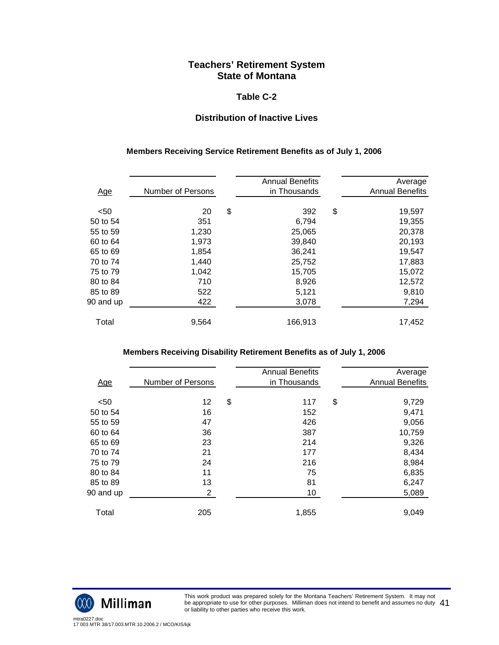### **Table C-2**

## **Distribution of Inactive Lives**

#### **Members Receiving Service Retirement Benefits as of July 1, 2006**

| <u>Age</u> | Number of Persons | <b>Annual Benefits</b><br>in Thousands | Average<br><b>Annual Benefits</b> |
|------------|-------------------|----------------------------------------|-----------------------------------|
| $50$       | 20                | \$<br>392                              | \$<br>19,597                      |
| 50 to 54   | 351               | 6,794                                  | 19,355                            |
| 55 to 59   | 1,230             | 25,065                                 | 20,378                            |
| 60 to 64   | 1,973             | 39,840                                 | 20,193                            |
| 65 to 69   | 1,854             | 36,241                                 | 19,547                            |
| 70 to 74   | 1,440             | 25,752                                 | 17,883                            |
| 75 to 79   | 1,042             | 15,705                                 | 15,072                            |
| 80 to 84   | 710               | 8,926                                  | 12,572                            |
| 85 to 89   | 522               | 5,121                                  | 9,810                             |
| 90 and up  | 422               | 3,078                                  | 7,294                             |
| Total      | 9,564             | 166,913                                | 17,452                            |

#### **Members Receiving Disability Retirement Benefits as of July 1, 2006**

| <u>Age</u> | Number of Persons | <b>Annual Benefits</b><br>in Thousands | Average<br><b>Annual Benefits</b> |
|------------|-------------------|----------------------------------------|-----------------------------------|
| $50$       | 12                | \$<br>117                              | \$<br>9,729                       |
| 50 to 54   | 16                | 152                                    | 9,471                             |
| 55 to 59   | 47                | 426                                    | 9,056                             |
| 60 to 64   | 36                | 387                                    | 10,759                            |
| 65 to 69   | 23                | 214                                    | 9,326                             |
| 70 to 74   | 21                | 177                                    | 8,434                             |
| 75 to 79   | 24                | 216                                    | 8,984                             |
| 80 to 84   | 11                | 75                                     | 6,835                             |
| 85 to 89   | 13                | 81                                     | 6,247                             |
| 90 and up  | $\mathbf{2}$      | 10                                     | 5,089                             |
| Total      | 205               | 1,855                                  | 9,049                             |



This work product was prepared solely for the Montana Teachers' Retirement System. It may not be appropriate to use for other purposes. Milliman does not intend to benefit and assumes no duty be appropriate to use for other purposes. Milliman does not intend to benefit and assumes no duty  $\ 41$ <br>or liability to other parties who receive this work.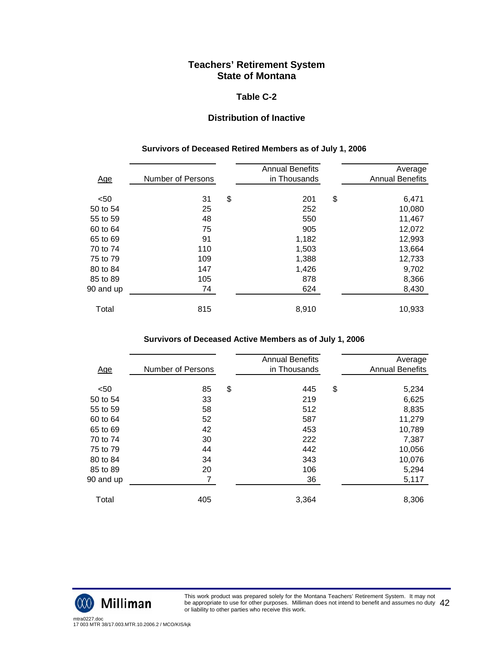### **Table C-2**

## **Distribution of Inactive**

#### **Survivors of Deceased Retired Members as of July 1, 2006**

| <u>Age</u> | Number of Persons | <b>Annual Benefits</b><br>in Thousands | Average<br><b>Annual Benefits</b> |
|------------|-------------------|----------------------------------------|-----------------------------------|
| < 50       | 31                | \$<br>201                              | \$<br>6,471                       |
| 50 to 54   | 25                | 252                                    | 10,080                            |
| 55 to 59   | 48                | 550                                    | 11,467                            |
| 60 to 64   | 75                | 905                                    | 12,072                            |
| 65 to 69   | 91                | 1,182                                  | 12,993                            |
| 70 to 74   | 110               | 1,503                                  | 13,664                            |
| 75 to 79   | 109               | 1,388                                  | 12,733                            |
| 80 to 84   | 147               | 1,426                                  | 9,702                             |
| 85 to 89   | 105               | 878                                    | 8,366                             |
| 90 and up  | 74                | 624                                    | 8,430                             |
| Total      | 815               | 8,910                                  | 10,933                            |

#### **Survivors of Deceased Active Members as of July 1, 2006**

| <u>Age</u> | Number of Persons | <b>Annual Benefits</b><br>in Thousands | Average<br><b>Annual Benefits</b> |
|------------|-------------------|----------------------------------------|-----------------------------------|
|            |                   |                                        |                                   |
| < 50       | 85                | \$<br>445                              | \$<br>5,234                       |
| 50 to 54   | 33                | 219                                    | 6,625                             |
| 55 to 59   | 58                | 512                                    | 8,835                             |
| 60 to 64   | 52                | 587                                    | 11,279                            |
| 65 to 69   | 42                | 453                                    | 10,789                            |
| 70 to 74   | 30                | 222                                    | 7,387                             |
| 75 to 79   | 44                | 442                                    | 10,056                            |
| 80 to 84   | 34                | 343                                    | 10,076                            |
| 85 to 89   | 20                | 106                                    | 5,294                             |
| 90 and up  | 7                 | 36                                     | 5,117                             |
|            |                   |                                        |                                   |
| Total      | 405               | 3,364                                  | 8,306                             |
|            |                   |                                        |                                   |



This work product was prepared solely for the Montana Teachers' Retirement System. It may not be appropriate to use for other purposes. Milliman does not intend to benefit and assumes no duty be appropriate to use for other purposes. Milliman does not intend to benefit and assumes no duty  $\ 42$ <br>or liability to other parties who receive this work.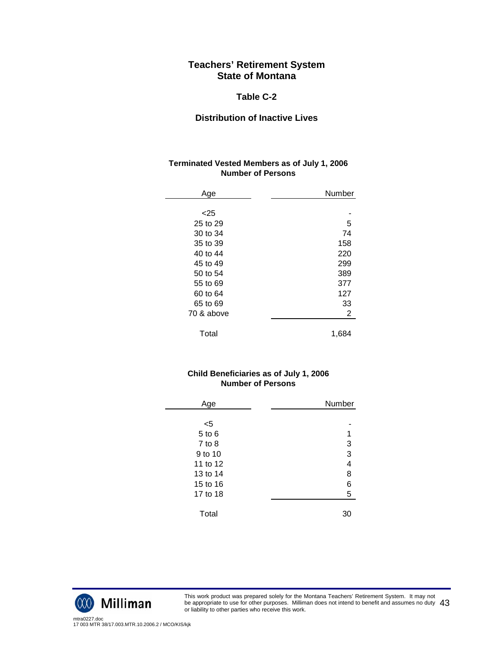### **Table C-2**

## **Distribution of Inactive Lives**

#### **Terminated Vested Members as of July 1, 2006 Number of Persons**

| Age        | Number         |
|------------|----------------|
|            |                |
| < 25       |                |
| 25 to 29   | 5              |
| 30 to 34   | 74             |
| 35 to 39   | 158            |
| 40 to 44   | 220            |
| 45 to 49   | 299            |
| 50 to 54   | 389            |
| 55 to 69   | 377            |
| 60 to 64   | 127            |
| 65 to 69   | 33             |
| 70 & above | $\overline{2}$ |
|            |                |
| Total      | 1,684          |

### **Child Beneficiaries as of July 1, 2006 Number of Persons**

| Age        | <b>Number</b>           |
|------------|-------------------------|
|            |                         |
| <5         |                         |
| $5$ to $6$ |                         |
| $7$ to $8$ | 3                       |
| 9 to 10    | 3                       |
| 11 to 12   | $\overline{\mathbf{4}}$ |
| 13 to 14   | 8                       |
| 15 to 16   | 6                       |
| 17 to 18   | 5                       |
|            |                         |
| Total      | 30                      |



This work product was prepared solely for the Montana Teachers' Retirement System. It may not be appropriate to use for other purposes. Milliman does not intend to benefit and assumes no duty be appropriate to use for other purposes. Milliman does not intend to benefit and assumes no duty  $\ 43$ <br>or liability to other parties who receive this work.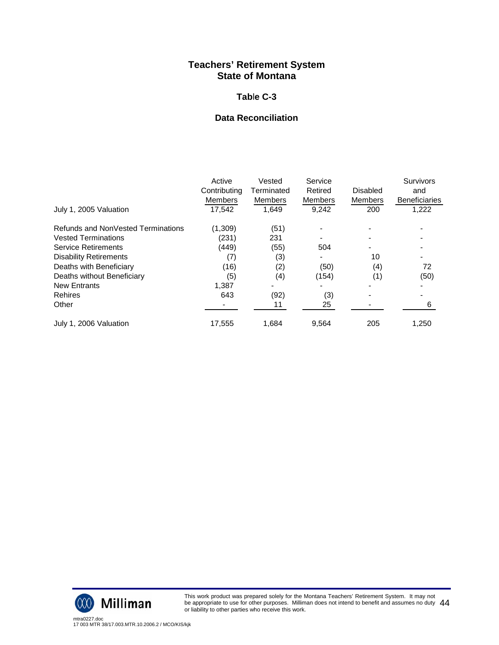### **Tab**l**e C-3**

## **Data Reconciliation**

|                                    | Active<br>Contributing<br><b>Members</b> | Vested<br>Terminated<br>Members | Service<br>Retired<br>Members | <b>Disabled</b><br><b>Members</b> | <b>Survivors</b><br>and<br><b>Beneficiaries</b> |
|------------------------------------|------------------------------------------|---------------------------------|-------------------------------|-----------------------------------|-------------------------------------------------|
| July 1, 2005 Valuation             | 17,542                                   | 1,649                           | 9,242                         | 200                               | 1,222                                           |
| Refunds and NonVested Terminations | (1,309)                                  | (51)                            |                               |                                   |                                                 |
| <b>Vested Terminations</b>         | (231)                                    | 231                             |                               |                                   |                                                 |
| <b>Service Retirements</b>         | (449)                                    | (55)                            | 504                           |                                   |                                                 |
| <b>Disability Retirements</b>      | (7)                                      | (3)                             |                               | 10                                |                                                 |
| Deaths with Beneficiary            | (16)                                     | (2)                             | (50)                          | (4)                               | 72                                              |
| Deaths without Beneficiary         | (5)                                      | (4)                             | (154)                         | (1)                               | (50)                                            |
| <b>New Entrants</b>                | 1,387                                    |                                 |                               |                                   |                                                 |
| <b>Rehires</b>                     | 643                                      | (92)                            | (3)                           |                                   |                                                 |
| Other                              |                                          | 11                              | 25                            |                                   | 6                                               |
| July 1, 2006 Valuation             | 17,555                                   | 1,684                           | 9,564                         | 205                               | 1,250                                           |

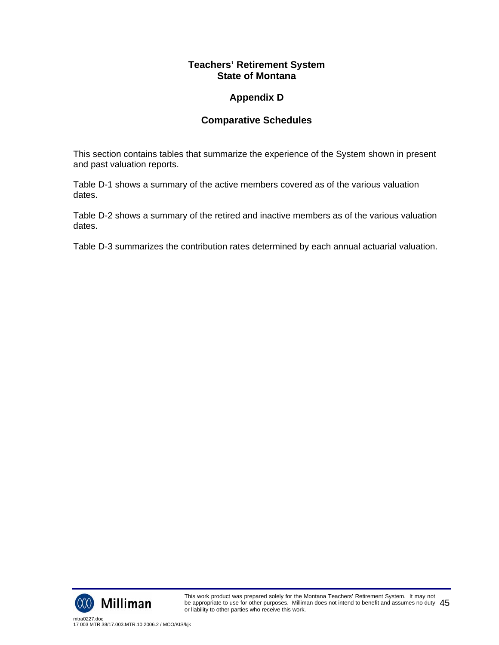# **Appendix D**

# **Comparative Schedules**

This section contains tables that summarize the experience of the System shown in present and past valuation reports.

Table D-1 shows a summary of the active members covered as of the various valuation dates.

Table D-2 shows a summary of the retired and inactive members as of the various valuation dates.

Table D-3 summarizes the contribution rates determined by each annual actuarial valuation.

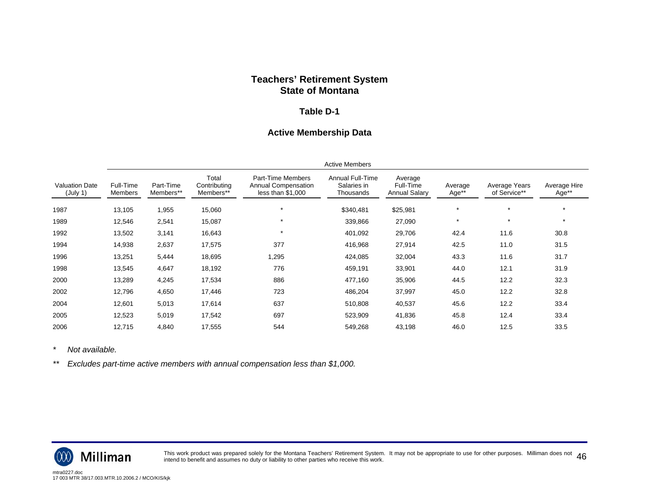#### **Table D-1**

## **Active Membership Data**

|                                   | <b>Active Members</b> |                        |                                    |                                                               |                                              |                                              |                  |                               |                       |
|-----------------------------------|-----------------------|------------------------|------------------------------------|---------------------------------------------------------------|----------------------------------------------|----------------------------------------------|------------------|-------------------------------|-----------------------|
| <b>Valuation Date</b><br>(July 1) | Full-Time<br>Members  | Part-Time<br>Members** | Total<br>Contributing<br>Members** | Part-Time Members<br>Annual Compensation<br>less than \$1,000 | Annual Full-Time<br>Salaries in<br>Thousands | Average<br>Full-Time<br><b>Annual Salary</b> | Average<br>Age** | Average Years<br>of Service** | Average Hire<br>Age** |
| 1987                              | 13,105                | 1,955                  | 15,060                             | $\star$                                                       | \$340,481                                    | \$25,981                                     | $\star$          | $\star$                       | $\star$               |
| 1989                              | 12,546                | 2,541                  | 15,087                             | $\star$                                                       | 339,866                                      | 27,090                                       | $\star$          | $\star$                       | $\star$               |
| 1992                              | 13,502                | 3,141                  | 16,643                             | $\star$                                                       | 401,092                                      | 29,706                                       | 42.4             | 11.6                          | 30.8                  |
| 1994                              | 14,938                | 2,637                  | 17,575                             | 377                                                           | 416,968                                      | 27,914                                       | 42.5             | 11.0                          | 31.5                  |
| 1996                              | 13,251                | 5,444                  | 18,695                             | 1,295                                                         | 424,085                                      | 32,004                                       | 43.3             | 11.6                          | 31.7                  |
| 1998                              | 13,545                | 4,647                  | 18,192                             | 776                                                           | 459,191                                      | 33,901                                       | 44.0             | 12.1                          | 31.9                  |
| 2000                              | 13,289                | 4,245                  | 17,534                             | 886                                                           | 477,160                                      | 35,906                                       | 44.5             | 12.2                          | 32.3                  |
| 2002                              | 12,796                | 4,650                  | 17,446                             | 723                                                           | 486,204                                      | 37,997                                       | 45.0             | 12.2                          | 32.8                  |
| 2004                              | 12,601                | 5,013                  | 17,614                             | 637                                                           | 510,808                                      | 40,537                                       | 45.6             | 12.2                          | 33.4                  |
| 2005                              | 12,523                | 5,019                  | 17,542                             | 697                                                           | 523,909                                      | 41,836                                       | 45.8             | 12.4                          | 33.4                  |
| 2006                              | 12,715                | 4,840                  | 17,555                             | 544                                                           | 549,268                                      | 43,198                                       | 46.0             | 12.5                          | 33.5                  |

*\* Not available.* 

*\*\* Excludes part-time active members with annual compensation less than \$1,000.* 



This work product was prepared solely for the Montana Teachers' Retirement System. It may not be appropriate to use for other purposes. Milliman does not  $\ 46$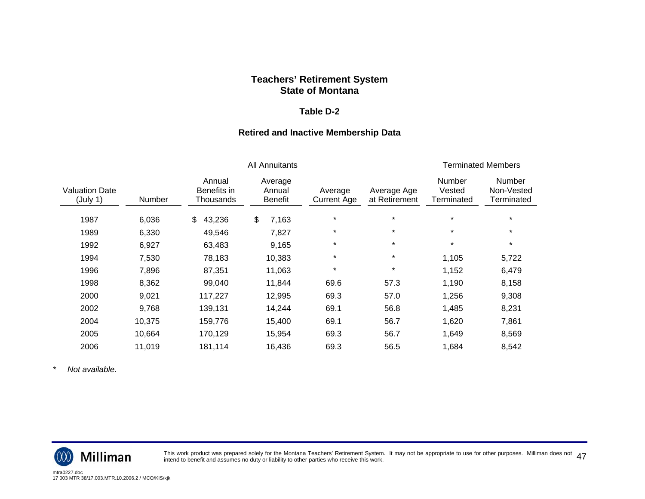#### **Table D-2**

## **Retired and Inactive Membership Data**

|                                   |        |                                    | <b>Terminated Members</b>           |                        |                              |                                |                                           |
|-----------------------------------|--------|------------------------------------|-------------------------------------|------------------------|------------------------------|--------------------------------|-------------------------------------------|
| <b>Valuation Date</b><br>(July 1) | Number | Annual<br>Benefits in<br>Thousands | Average<br>Annual<br><b>Benefit</b> | Average<br>Current Age | Average Age<br>at Retirement | Number<br>Vested<br>Terminated | <b>Number</b><br>Non-Vested<br>Terminated |
| 1987                              | 6,036  | 43,236<br>\$                       | \$<br>7,163                         | $\star$                | $\star$                      | $\star$                        | $\star$                                   |
| 1989                              | 6,330  | 49,546                             | 7,827                               | $\star$                | $\star$                      | $\star$                        | $\star$                                   |
| 1992                              | 6,927  | 63,483                             | 9,165                               | $\star$                | $\star$                      | $\star$                        | $\star$                                   |
| 1994                              | 7,530  | 78,183                             | 10,383                              | $\star$                | $\star$                      | 1,105                          | 5,722                                     |
| 1996                              | 7,896  | 87,351                             | 11,063                              | $\star$                | $\star$                      | 1,152                          | 6,479                                     |
| 1998                              | 8,362  | 99,040                             | 11,844                              | 69.6                   | 57.3                         | 1,190                          | 8,158                                     |
| 2000                              | 9,021  | 117,227                            | 12,995                              | 69.3                   | 57.0                         | 1,256                          | 9,308                                     |
| 2002                              | 9,768  | 139,131                            | 14,244                              | 69.1                   | 56.8                         | 1,485                          | 8,231                                     |
| 2004                              | 10,375 | 159,776                            | 15,400                              | 69.1                   | 56.7                         | 1,620                          | 7,861                                     |
| 2005                              | 10,664 | 170,129                            | 15,954                              | 69.3                   | 56.7                         | 1,649                          | 8,569                                     |
| 2006                              | 11,019 | 181,114                            | 16,436                              | 69.3                   | 56.5                         | 1,684                          | 8,542                                     |

*\* Not available.* 



This work product was prepared solely for the Montana Teachers' Retirement System. It may not be appropriate to use for other purposes. Milliman does not  $\ 47$ <br>intend to benefit and assumes no duty or liability to other p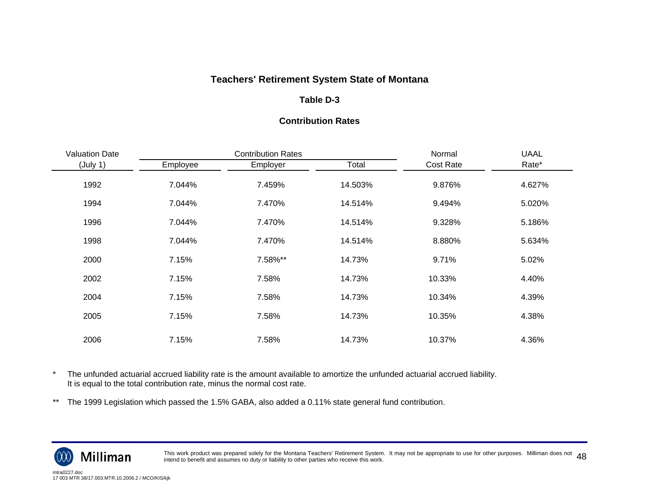## **Table D-3**

#### **Contribution Rates**

| <b>Valuation Date</b> |          | <b>Contribution Rates</b> | Normal  | <b>UAAL</b>      |        |
|-----------------------|----------|---------------------------|---------|------------------|--------|
| (July 1)              | Employee | Employer                  | Total   | <b>Cost Rate</b> | Rate*  |
| 1992                  | 7.044%   | 7.459%                    | 14.503% | 9.876%           | 4.627% |
| 1994                  | 7.044%   | 7.470%                    | 14.514% | 9.494%           | 5.020% |
| 1996                  | 7.044%   | 7.470%                    | 14.514% | 9.328%           | 5.186% |
| 1998                  | 7.044%   | 7.470%                    | 14.514% | 8.880%           | 5.634% |
| 2000                  | 7.15%    | 7.58%**                   | 14.73%  | 9.71%            | 5.02%  |
| 2002                  | 7.15%    | 7.58%                     | 14.73%  | 10.33%           | 4.40%  |
| 2004                  | 7.15%    | 7.58%                     | 14.73%  | 10.34%           | 4.39%  |
| 2005                  | 7.15%    | 7.58%                     | 14.73%  | 10.35%           | 4.38%  |
| 2006                  | 7.15%    | 7.58%                     | 14.73%  | 10.37%           | 4.36%  |

\* The unfunded actuarial accrued liability rate is the amount available to amortize the unfunded actuarial accrued liability. It is equal to the total contribution rate, minus the normal cost rate.

\*\* The 1999 Legislation which passed the 1.5% GABA, also added a 0.11% state general fund contribution.



This work product was prepared solely for the Montana Teachers' Retirement System. It may not be appropriate to use for other purposes. Milliman does not  $\,\,48$ <br>intend to benefit and assumes no duty or liability to other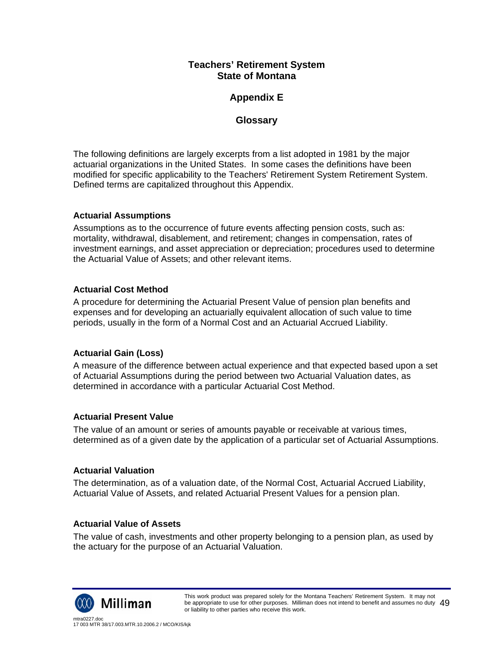# **Appendix E**

# **Glossary**

The following definitions are largely excerpts from a list adopted in 1981 by the major actuarial organizations in the United States. In some cases the definitions have been modified for specific applicability to the Teachers' Retirement System Retirement System. Defined terms are capitalized throughout this Appendix.

## **Actuarial Assumptions**

Assumptions as to the occurrence of future events affecting pension costs, such as: mortality, withdrawal, disablement, and retirement; changes in compensation, rates of investment earnings, and asset appreciation or depreciation; procedures used to determine the Actuarial Value of Assets; and other relevant items.

## **Actuarial Cost Method**

A procedure for determining the Actuarial Present Value of pension plan benefits and expenses and for developing an actuarially equivalent allocation of such value to time periods, usually in the form of a Normal Cost and an Actuarial Accrued Liability.

## **Actuarial Gain (Loss)**

A measure of the difference between actual experience and that expected based upon a set of Actuarial Assumptions during the period between two Actuarial Valuation dates, as determined in accordance with a particular Actuarial Cost Method.

## **Actuarial Present Value**

The value of an amount or series of amounts payable or receivable at various times, determined as of a given date by the application of a particular set of Actuarial Assumptions.

## **Actuarial Valuation**

The determination, as of a valuation date, of the Normal Cost, Actuarial Accrued Liability, Actuarial Value of Assets, and related Actuarial Present Values for a pension plan.

## **Actuarial Value of Assets**

The value of cash, investments and other property belonging to a pension plan, as used by the actuary for the purpose of an Actuarial Valuation.

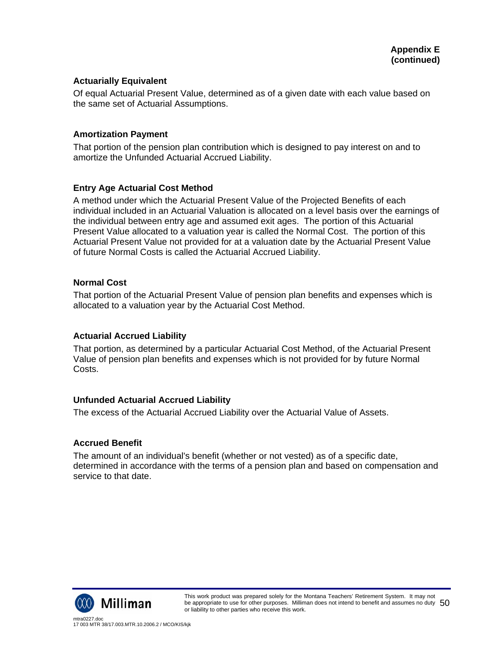### **Actuarially Equivalent**

Of equal Actuarial Present Value, determined as of a given date with each value based on the same set of Actuarial Assumptions.

### **Amortization Payment**

That portion of the pension plan contribution which is designed to pay interest on and to amortize the Unfunded Actuarial Accrued Liability.

### **Entry Age Actuarial Cost Method**

A method under which the Actuarial Present Value of the Projected Benefits of each individual included in an Actuarial Valuation is allocated on a level basis over the earnings of the individual between entry age and assumed exit ages. The portion of this Actuarial Present Value allocated to a valuation year is called the Normal Cost. The portion of this Actuarial Present Value not provided for at a valuation date by the Actuarial Present Value of future Normal Costs is called the Actuarial Accrued Liability.

### **Normal Cost**

That portion of the Actuarial Present Value of pension plan benefits and expenses which is allocated to a valuation year by the Actuarial Cost Method.

## **Actuarial Accrued Liability**

That portion, as determined by a particular Actuarial Cost Method, of the Actuarial Present Value of pension plan benefits and expenses which is not provided for by future Normal Costs.

## **Unfunded Actuarial Accrued Liability**

The excess of the Actuarial Accrued Liability over the Actuarial Value of Assets.

#### **Accrued Benefit**

The amount of an individual's benefit (whether or not vested) as of a specific date, determined in accordance with the terms of a pension plan and based on compensation and service to that date.